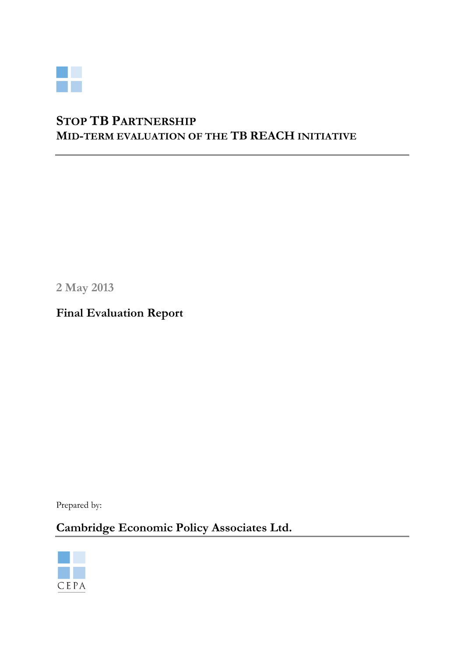

# S TOP TB PARTNERSHIP M ID-TERM EVALUATION OF THE TB REACH INITIATIVE

2 May 2013

Final Evaluation Report

Prepared by:

Cambridge Economic Policy Associates Ltd.

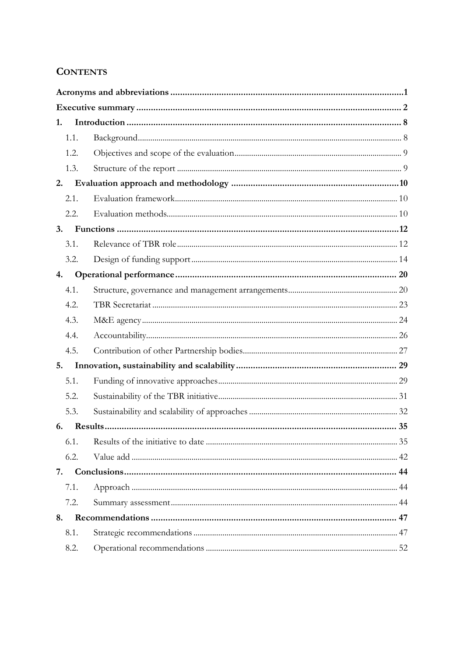# **CONTENTS**

| 1.   |  |
|------|--|
| 1.1. |  |
| 1.2. |  |
| 1.3. |  |
| 2.   |  |
| 2.1. |  |
| 2.2. |  |
| 3.   |  |
| 3.1. |  |
| 3.2. |  |
| 4.   |  |
| 4.1. |  |
| 4.2. |  |
| 4.3. |  |
| 4.4. |  |
| 4.5. |  |
| 5.   |  |
| 5.1. |  |
| 5.2. |  |
| 5.3. |  |
| 6.   |  |
| 6.1. |  |
| 6.2. |  |
| 7.   |  |
| 7.1. |  |
| 7.2. |  |
| 8.   |  |
| 8.1. |  |
| 8.2. |  |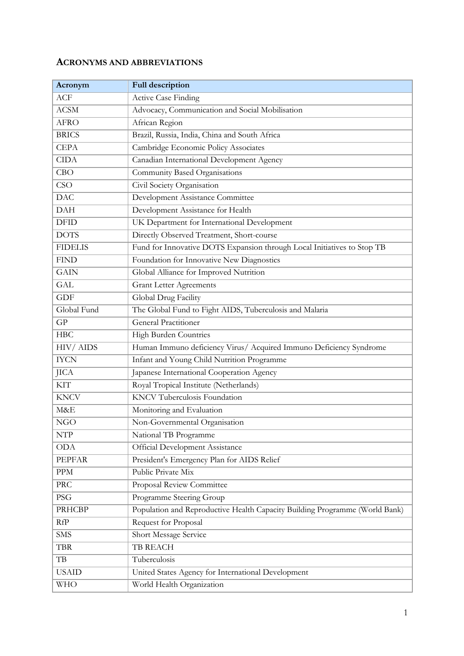# ACRONYMS AND ABBREVIATIONS

| Acronym        | <b>Full description</b>                                                     |
|----------------|-----------------------------------------------------------------------------|
| ACF            | <b>Active Case Finding</b>                                                  |
| <b>ACSM</b>    | Advocacy, Communication and Social Mobilisation                             |
| <b>AFRO</b>    | African Region                                                              |
| <b>BRICS</b>   | Brazil, Russia, India, China and South Africa                               |
| <b>CEPA</b>    | Cambridge Economic Policy Associates                                        |
| <b>CIDA</b>    | Canadian International Development Agency                                   |
| CBO            | Community Based Organisations                                               |
| <b>CSO</b>     | Civil Society Organisation                                                  |
| <b>DAC</b>     | Development Assistance Committee                                            |
| <b>DAH</b>     | Development Assistance for Health                                           |
| <b>DFID</b>    | UK Department for International Development                                 |
| <b>DOTS</b>    | Directly Observed Treatment, Short-course                                   |
| <b>FIDELIS</b> | Fund for Innovative DOTS Expansion through Local Initiatives to Stop TB     |
| <b>FIND</b>    | Foundation for Innovative New Diagnostics                                   |
| <b>GAIN</b>    | Global Alliance for Improved Nutrition                                      |
| <b>GAL</b>     | <b>Grant Letter Agreements</b>                                              |
| <b>GDF</b>     | Global Drug Facility                                                        |
| Global Fund    | The Global Fund to Fight AIDS, Tuberculosis and Malaria                     |
| GP             | <b>General Practitioner</b>                                                 |
| <b>HBC</b>     | High Burden Countries                                                       |
| HIV/AIDS       | Human Immuno deficiency Virus/ Acquired Immuno Deficiency Syndrome          |
| <b>IYCN</b>    | Infant and Young Child Nutrition Programme                                  |
| JICA           | Japanese International Cooperation Agency                                   |
| <b>KIT</b>     | Royal Tropical Institute (Netherlands)                                      |
| <b>KNCV</b>    | <b>KNCV</b> Tuberculosis Foundation                                         |
| M&E            | Monitoring and Evaluation                                                   |
| <b>NGO</b>     | Non-Governmental Organisation                                               |
| <b>NTP</b>     | National TB Programme                                                       |
| <b>ODA</b>     | <b>Official Development Assistance</b>                                      |
| <b>PEPFAR</b>  | President's Emergency Plan for AIDS Relief                                  |
| ${\rm PPM}$    | Public Private Mix                                                          |
| PRC            | Proposal Review Committee                                                   |
| <b>PSG</b>     | Programme Steering Group                                                    |
| <b>PRHCBP</b>  | Population and Reproductive Health Capacity Building Programme (World Bank) |
| RfP            | Request for Proposal                                                        |
| <b>SMS</b>     | Short Message Service                                                       |
| <b>TBR</b>     | <b>TB REACH</b>                                                             |
| $\rm{TB}$      | Tuberculosis                                                                |
| <b>USAID</b>   | United States Agency for International Development                          |
| <b>WHO</b>     | World Health Organization                                                   |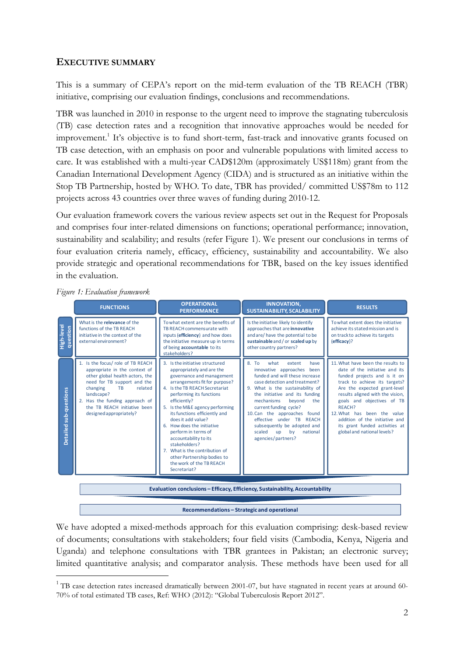# EXECUTIVE SUMMARY

This is a summary of CEPA's report on the mid-term evaluation of the TB REACH (TBR) initiative, comprising our evaluation findings, conclusions and recommendations.

TBR was launched in 2010 in response to the urgent need to improve the stagnating tuberculosis (TB) case detection rates and a recognition that innovative approaches would be needed for improvement.<sup>1</sup> It's objective is to fund short-term, fast-track and innovative grants focused on TB case detection, with an emphasis on poor and vulnerable populations with limited access to care. It was established with a multi-year CAD\$120m (approximately US\$118m) grant from the Canadian International Development Agency (CIDA) and is structured as an initiative within the Stop TB Partnership, hosted by WHO. To date, TBR has provided/ committed US\$78m to 112 projects across 43 countries over three waves of funding during 2010-12.

Our evaluation framework covers the various review aspects set out in the Request for Proposals and comprises four inter-related dimensions on functions; operational performance; innovation, sustainability and scalability; and results (refer Figure 1). We present our conclusions in terms of four evaluation criteria namely, efficacy, efficiency, sustainability and accountability. We also provide strategic and operational recommendations for TBR, based on the key issues identified in the evaluation.

|                               | <b>FUNCTIONS</b>                                                                                                                                                                                                                                                                    | <b>OPERATIONAL</b><br><b>PERFORMANCE</b>                                                                                                                                                                                                                                                                                                                                                                                                                                                                       | <b>INNOVATION,</b><br><b>SUSTAINABILITY, SCALABILITY</b>                                                                                                                                                                                                                                                                                                                                                                       | <b>RESULTS</b>                                                                                                                                                                                                                                                                                                                                                                     |
|-------------------------------|-------------------------------------------------------------------------------------------------------------------------------------------------------------------------------------------------------------------------------------------------------------------------------------|----------------------------------------------------------------------------------------------------------------------------------------------------------------------------------------------------------------------------------------------------------------------------------------------------------------------------------------------------------------------------------------------------------------------------------------------------------------------------------------------------------------|--------------------------------------------------------------------------------------------------------------------------------------------------------------------------------------------------------------------------------------------------------------------------------------------------------------------------------------------------------------------------------------------------------------------------------|------------------------------------------------------------------------------------------------------------------------------------------------------------------------------------------------------------------------------------------------------------------------------------------------------------------------------------------------------------------------------------|
| High-level<br>question        | What is the relevance of the<br>functions of the TB REACH<br>initiative in the context of the<br>external environment?                                                                                                                                                              | To what extent are the benefits of<br>TB REACH commensurate with<br>inputs (efficiency) and how does<br>the initiative measure up in terms<br>of being accountable to its<br>stakeholders?                                                                                                                                                                                                                                                                                                                     | Is the initiative likely to identify<br>approaches that are innovative<br>and are/have the potential to be<br>sustainable and / or scaled up by<br>other country partners?                                                                                                                                                                                                                                                     | To what extent does the initiative<br>achieve its stated mission and is<br>on track to achieve its targets<br>(efficacy)?                                                                                                                                                                                                                                                          |
| <b>Detailed sub-questions</b> | 1. Is the focus/ role of TB REACH<br>appropriate in the context of<br>other global health actors, the<br>need for TB support and the<br>changing<br>related<br><b>TB</b><br>landscape?<br>2. Has the funding approach of<br>the TB REACH initiative been<br>designed appropriately? | 3. Is the initiative structured<br>appropriately and are the<br>governance and management<br>arrangements fit for purpose?<br>4. Is the TB REACH Secretariat<br>performing its functions<br>efficiently?<br>5. Is the M&E agency performing<br>its functions efficiently and<br>does it add value?<br>6. How does the initiative<br>perform in terms of<br>accountability to its<br>stakeholders?<br>7. What is the contribution of<br>other Partnership bodies to<br>the work of the TB REACH<br>Secretariat? | 8T <sub>0</sub><br>what<br>extent<br>have<br>innovative approaches<br>been<br>funded and will these increase<br>case detection and treatment?<br>9. What is the sustainability of<br>the initiative and its funding<br>mechanisms<br>beyond<br>the<br>current funding cycle?<br>10.Can the approaches found<br>effective under TB REACH<br>subsequently be adopted and<br>scaled<br>up<br>by<br>national<br>agencies/partners? | 11. What have been the results to<br>date of the initiative and its<br>funded projects and is it on<br>track to achieve its targets?<br>Are the expected grant-level<br>results aligned with the vision,<br>goals and objectives of TB<br>REACH?<br>12. What has been the value<br>addition of the initiative and<br>its grant funded activities at<br>global and national levels? |
|                               |                                                                                                                                                                                                                                                                                     |                                                                                                                                                                                                                                                                                                                                                                                                                                                                                                                | Evaluation conclusions - Efficacy, Efficiency, Sustainability, Accountability                                                                                                                                                                                                                                                                                                                                                  |                                                                                                                                                                                                                                                                                                                                                                                    |

Figure 1: Evaluation framework

 $\overline{a}$ 

Recommendations – Strategic and operational

We have adopted a mixed-methods approach for this evaluation comprising: desk-based review of documents; consultations with stakeholders; four field visits (Cambodia, Kenya, Nigeria and Uganda) and telephone consultations with TBR grantees in Pakistan; an electronic survey; limited quantitative analysis; and comparator analysis. These methods have been used for all

 $1$ <sup>1</sup> TB case detection rates increased dramatically between 2001-07, but have stagnated in recent years at around 60-70% of total estimated TB cases, Ref: WHO (2012): "Global Tuberculosis Report 2012".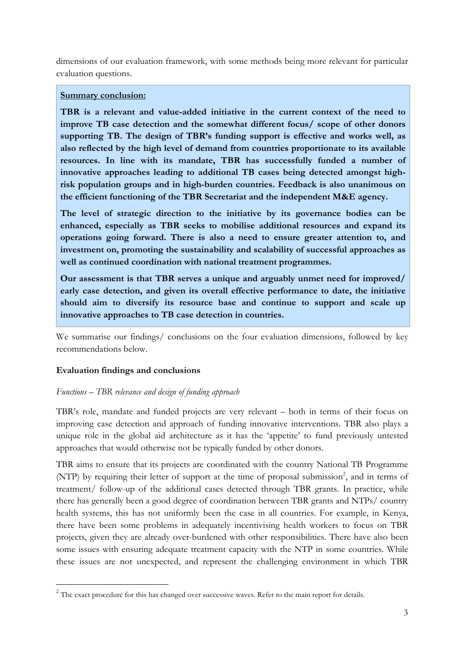dimensions of our evaluation framework, with some methods being more relevant for particular evaluation questions.

### Summary conclusion:

TBR is a relevant and value-added initiative in the current context of the need to improve TB case detection and the somewhat different focus/ scope of other donors supporting TB. The design of TBR's funding support is effective and works well, as also reflected by the high level of demand from countries proportionate to its available resources. In line with its mandate, TBR has successfully funded a number of innovative approaches leading to additional TB cases being detected amongst highrisk population groups and in high-burden countries. Feedback is also unanimous on the efficient functioning of the TBR Secretariat and the independent M&E agency.

The level of strategic direction to the initiative by its governance bodies can be enhanced, especially as TBR seeks to mobilise additional resources and expand its operations going forward. There is also a need to ensure greater attention to, and investment on, promoting the sustainability and scalability of successful approaches as well as continued coordination with national treatment programmes.

Our assessment is that TBR serves a unique and arguably unmet need for improved/ early case detection, and given its overall effective performance to date, the initiative should aim to diversify its resource base and continue to support and scale up innovative approaches to TB case detection in countries.

We summarise our findings/ conclusions on the four evaluation dimensions, followed by key recommendations below.

## Evaluation findings and conclusions

 $\overline{a}$ 

## Functions – TBR relevance and design of funding approach

TBR's role, mandate and funded projects are very relevant – both in terms of their focus on improving case detection and approach of funding innovative interventions. TBR also plays a unique role in the global aid architecture as it has the 'appetite' to fund previously untested approaches that would otherwise not be typically funded by other donors.

TBR aims to ensure that its projects are coordinated with the country National TB Programme (NTP) by requiring their letter of support at the time of proposal submission<sup>2</sup>, and in terms of treatment/ follow-up of the additional cases detected through TBR grants. In practice, while there has generally been a good degree of coordination between TBR grants and NTPs/ country health systems, this has not uniformly been the case in all countries. For example, in Kenya, there have been some problems in adequately incentivising health workers to focus on TBR projects, given they are already over-burdened with other responsibilities. There have also been some issues with ensuring adequate treatment capacity with the NTP in some countries. While these issues are not unexpected, and represent the challenging environment in which TBR

<sup>&</sup>lt;sup>2</sup> The exact procedure for this has changed over successive waves. Refer to the main report for details.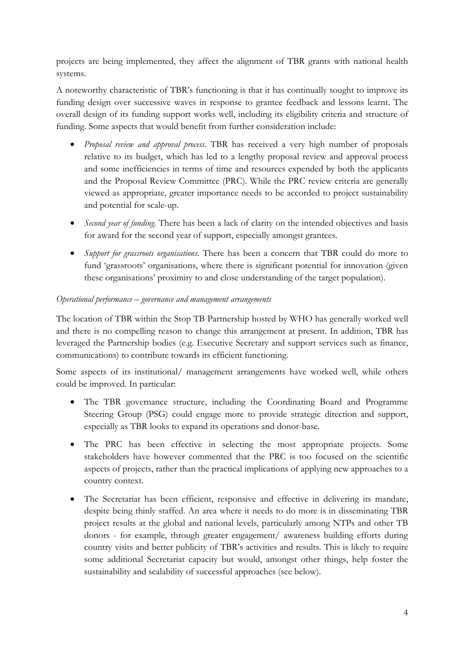projects are being implemented, they affect the alignment of TBR grants with national health systems.

A noteworthy characteristic of TBR's functioning is that it has continually sought to improve its funding design over successive waves in response to grantee feedback and lessons learnt. The overall design of its funding support works well, including its eligibility criteria and structure of funding. Some aspects that would benefit from further consideration include:

- *Proposal review and approval process*. TBR has received a very high number of proposals relative to its budget, which has led to a lengthy proposal review and approval process and some inefficiencies in terms of time and resources expended by both the applicants and the Proposal Review Committee (PRC). While the PRC review criteria are generally viewed as appropriate, greater importance needs to be accorded to project sustainability and potential for scale-up.
- Second year of funding. There has been a lack of clarity on the intended objectives and basis for award for the second year of support, especially amongst grantees.
- Support for grassroots organisations. There has been a concern that TBR could do more to fund 'grassroots' organisations, where there is significant potential for innovation (given these organisations' proximity to and close understanding of the target population).

## Operational performance – governance and management arrangements

The location of TBR within the Stop TB Partnership hosted by WHO has generally worked well and there is no compelling reason to change this arrangement at present. In addition, TBR has leveraged the Partnership bodies (e.g. Executive Secretary and support services such as finance, communications) to contribute towards its efficient functioning.

Some aspects of its institutional/ management arrangements have worked well, while others could be improved. In particular:

- The TBR governance structure, including the Coordinating Board and Programme Steering Group (PSG) could engage more to provide strategic direction and support, especially as TBR looks to expand its operations and donor-base.
- The PRC has been effective in selecting the most appropriate projects. Some stakeholders have however commented that the PRC is too focused on the scientific aspects of projects, rather than the practical implications of applying new approaches to a country context.
- The Secretariat has been efficient, responsive and effective in delivering its mandate, despite being thinly staffed. An area where it needs to do more is in disseminating TBR project results at the global and national levels, particularly among NTPs and other TB donors - for example, through greater engagement/ awareness building efforts during country visits and better publicity of TBR's activities and results. This is likely to require some additional Secretariat capacity but would, amongst other things, help foster the sustainability and scalability of successful approaches (see below).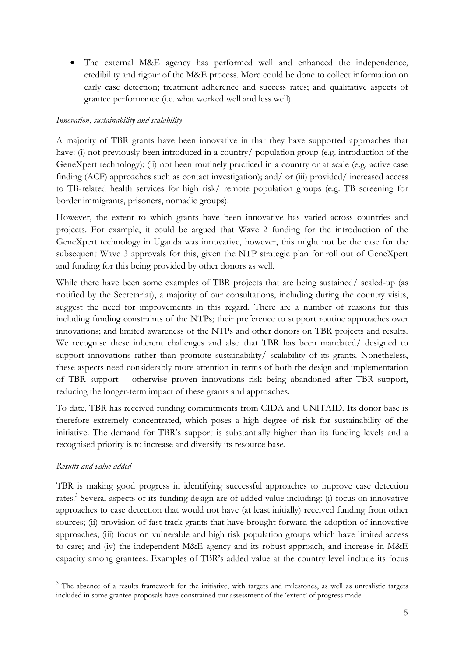• The external M&E agency has performed well and enhanced the independence, credibility and rigour of the M&E process. More could be done to collect information on early case detection; treatment adherence and success rates; and qualitative aspects of grantee performance (i.e. what worked well and less well).

### Innovation, sustainability and scalability

A majority of TBR grants have been innovative in that they have supported approaches that have: (i) not previously been introduced in a country/ population group (e.g. introduction of the GeneXpert technology); (ii) not been routinely practiced in a country or at scale (e.g. active case finding (ACF) approaches such as contact investigation); and/ or (iii) provided/ increased access to TB-related health services for high risk/ remote population groups (e.g. TB screening for border immigrants, prisoners, nomadic groups).

However, the extent to which grants have been innovative has varied across countries and projects. For example, it could be argued that Wave 2 funding for the introduction of the GeneXpert technology in Uganda was innovative, however, this might not be the case for the subsequent Wave 3 approvals for this, given the NTP strategic plan for roll out of GeneXpert and funding for this being provided by other donors as well.

While there have been some examples of TBR projects that are being sustained/ scaled-up (as notified by the Secretariat), a majority of our consultations, including during the country visits, suggest the need for improvements in this regard. There are a number of reasons for this including funding constraints of the NTPs; their preference to support routine approaches over innovations; and limited awareness of the NTPs and other donors on TBR projects and results. We recognise these inherent challenges and also that TBR has been mandated/ designed to support innovations rather than promote sustainability/ scalability of its grants. Nonetheless, these aspects need considerably more attention in terms of both the design and implementation of TBR support – otherwise proven innovations risk being abandoned after TBR support, reducing the longer-term impact of these grants and approaches.

To date, TBR has received funding commitments from CIDA and UNITAID. Its donor base is therefore extremely concentrated, which poses a high degree of risk for sustainability of the initiative. The demand for TBR's support is substantially higher than its funding levels and a recognised priority is to increase and diversify its resource base.

## Results and value added

 $\overline{a}$ 

TBR is making good progress in identifying successful approaches to improve case detection rates.<sup>3</sup> Several aspects of its funding design are of added value including: (i) focus on innovative approaches to case detection that would not have (at least initially) received funding from other sources; (ii) provision of fast track grants that have brought forward the adoption of innovative approaches; (iii) focus on vulnerable and high risk population groups which have limited access to care; and (iv) the independent M&E agency and its robust approach, and increase in M&E capacity among grantees. Examples of TBR's added value at the country level include its focus

<sup>&</sup>lt;sup>3</sup> The absence of a results framework for the initiative, with targets and milestones, as well as unrealistic targets included in some grantee proposals have constrained our assessment of the 'extent' of progress made.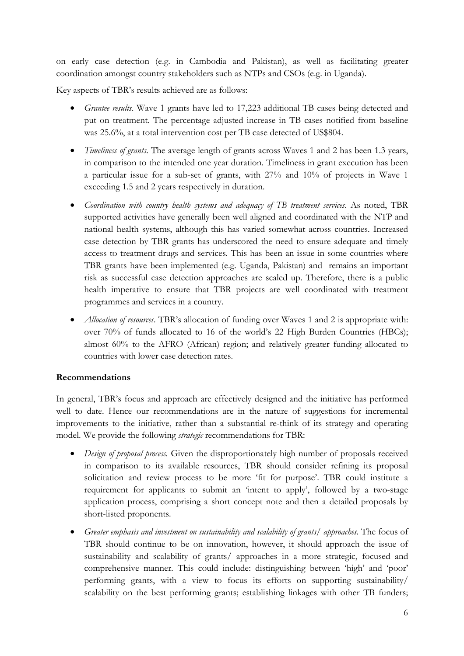on early case detection (e.g. in Cambodia and Pakistan), as well as facilitating greater coordination amongst country stakeholders such as NTPs and CSOs (e.g. in Uganda).

Key aspects of TBR's results achieved are as follows:

- Grantee results. Wave 1 grants have led to 17,223 additional TB cases being detected and put on treatment. The percentage adjusted increase in TB cases notified from baseline was 25.6%, at a total intervention cost per TB case detected of US\$804.
- Timeliness of grants. The average length of grants across Waves 1 and 2 has been 1.3 years, in comparison to the intended one year duration. Timeliness in grant execution has been a particular issue for a sub-set of grants, with 27% and 10% of projects in Wave 1 exceeding 1.5 and 2 years respectively in duration.
- Coordination with country health systems and adequacy of TB treatment services. As noted, TBR supported activities have generally been well aligned and coordinated with the NTP and national health systems, although this has varied somewhat across countries. Increased case detection by TBR grants has underscored the need to ensure adequate and timely access to treatment drugs and services. This has been an issue in some countries where TBR grants have been implemented (e.g. Uganda, Pakistan) and remains an important risk as successful case detection approaches are scaled up. Therefore, there is a public health imperative to ensure that TBR projects are well coordinated with treatment programmes and services in a country.
- *Allocation of resources*. TBR's allocation of funding over Waves 1 and 2 is appropriate with: over 70% of funds allocated to 16 of the world's 22 High Burden Countries (HBCs); almost 60% to the AFRO (African) region; and relatively greater funding allocated to countries with lower case detection rates.

## Recommendations

In general, TBR's focus and approach are effectively designed and the initiative has performed well to date. Hence our recommendations are in the nature of suggestions for incremental improvements to the initiative, rather than a substantial re-think of its strategy and operating model. We provide the following strategic recommendations for TBR:

- Design of proposal process. Given the disproportionately high number of proposals received in comparison to its available resources, TBR should consider refining its proposal solicitation and review process to be more 'fit for purpose'. TBR could institute a requirement for applicants to submit an 'intent to apply', followed by a two-stage application process, comprising a short concept note and then a detailed proposals by short-listed proponents.
- Greater emphasis and investment on sustainability and scalability of grants/ approaches. The focus of TBR should continue to be on innovation, however, it should approach the issue of sustainability and scalability of grants/ approaches in a more strategic, focused and comprehensive manner. This could include: distinguishing between 'high' and 'poor' performing grants, with a view to focus its efforts on supporting sustainability/ scalability on the best performing grants; establishing linkages with other TB funders;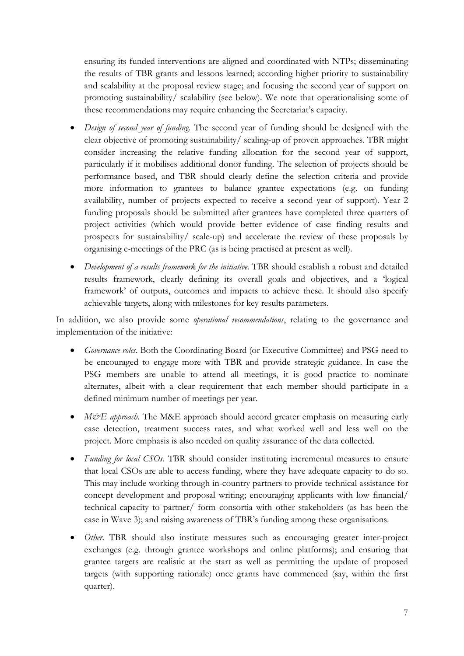ensuring its funded interventions are aligned and coordinated with NTPs; disseminating the results of TBR grants and lessons learned; according higher priority to sustainability and scalability at the proposal review stage; and focusing the second year of support on promoting sustainability/ scalability (see below). We note that operationalising some of these recommendations may require enhancing the Secretariat's capacity.

- Design of second year of funding. The second year of funding should be designed with the clear objective of promoting sustainability/ scaling-up of proven approaches. TBR might consider increasing the relative funding allocation for the second year of support, particularly if it mobilises additional donor funding. The selection of projects should be performance based, and TBR should clearly define the selection criteria and provide more information to grantees to balance grantee expectations (e.g. on funding availability, number of projects expected to receive a second year of support). Year 2 funding proposals should be submitted after grantees have completed three quarters of project activities (which would provide better evidence of case finding results and prospects for sustainability/ scale-up) and accelerate the review of these proposals by organising e-meetings of the PRC (as is being practised at present as well).
- Development of a results framework for the initiative. TBR should establish a robust and detailed results framework, clearly defining its overall goals and objectives, and a 'logical framework' of outputs, outcomes and impacts to achieve these. It should also specify achievable targets, along with milestones for key results parameters.

In addition, we also provide some *operational recommendations*, relating to the governance and implementation of the initiative:

- Governance roles. Both the Coordinating Board (or Executive Committee) and PSG need to be encouraged to engage more with TBR and provide strategic guidance. In case the PSG members are unable to attend all meetings, it is good practice to nominate alternates, albeit with a clear requirement that each member should participate in a defined minimum number of meetings per year.
- $M\ddot{\varphi}E$  approach. The M&E approach should accord greater emphasis on measuring early case detection, treatment success rates, and what worked well and less well on the project. More emphasis is also needed on quality assurance of the data collected.
- Funding for local CSOs. TBR should consider instituting incremental measures to ensure that local CSOs are able to access funding, where they have adequate capacity to do so. This may include working through in-country partners to provide technical assistance for concept development and proposal writing; encouraging applicants with low financial/ technical capacity to partner/ form consortia with other stakeholders (as has been the case in Wave 3); and raising awareness of TBR's funding among these organisations.
- Other. TBR should also institute measures such as encouraging greater inter-project exchanges (e.g. through grantee workshops and online platforms); and ensuring that grantee targets are realistic at the start as well as permitting the update of proposed targets (with supporting rationale) once grants have commenced (say, within the first quarter).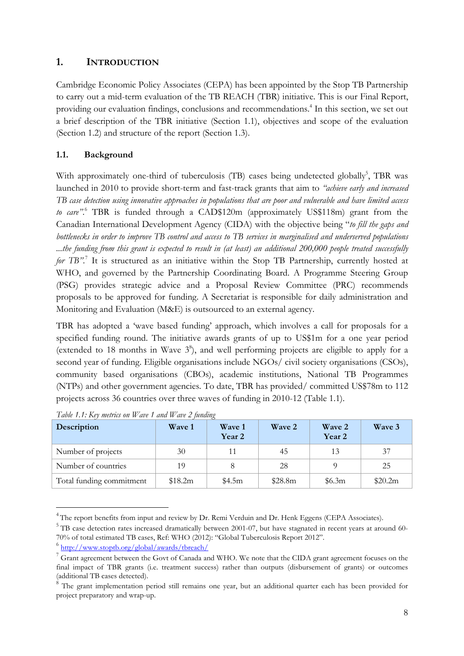# 1. INTRODUCTION

Cambridge Economic Policy Associates (CEPA) has been appointed by the Stop TB Partnership to carry out a mid-term evaluation of the TB REACH (TBR) initiative. This is our Final Report, providing our evaluation findings, conclusions and recommendations.<sup>4</sup> In this section, we set out a brief description of the TBR initiative (Section 1.1), objectives and scope of the evaluation (Section 1.2) and structure of the report (Section 1.3).

# 1.1. Background

With approximately one-third of tuberculosis (TB) cases being undetected globally<sup>5</sup>, TBR was launched in 2010 to provide short-term and fast-track grants that aim to "achieve early and increased TB case detection using innovative approaches in populations that are poor and vulnerable and have limited access to care".<sup>6</sup> TBR is funded through a CAD\$120m (approximately US\$118m) grant from the Canadian International Development Agency (CIDA) with the objective being "to fill the gaps and bottlenecks in order to improve TB control and access to TB services in marginalised and underserved populations ...the funding from this grant is expected to result in (at least) an additional 200,000 people treated successfully for TB".<sup>7</sup> It is structured as an initiative within the Stop TB Partnership, currently hosted at WHO, and governed by the Partnership Coordinating Board. A Programme Steering Group (PSG) provides strategic advice and a Proposal Review Committee (PRC) recommends proposals to be approved for funding. A Secretariat is responsible for daily administration and Monitoring and Evaluation (M&E) is outsourced to an external agency.

TBR has adopted a 'wave based funding' approach, which involves a call for proposals for a specified funding round. The initiative awards grants of up to US\$1m for a one year period (extended to 18 months in Wave  $3^{\circ}$ ), and well performing projects are eligible to apply for a second year of funding. Eligible organisations include NGOs/ civil society organisations (CSOs), community based organisations (CBOs), academic institutions, National TB Programmes (NTPs) and other government agencies. To date, TBR has provided/ committed US\$78m to 112 projects across 36 countries over three waves of funding in 2010-12 (Table 1.1).

| Description              | <b>Wave 1</b> | Wave 1<br>Year 2 | Wave 2  | Wave 2<br>Year 2 | Wave 3  |
|--------------------------|---------------|------------------|---------|------------------|---------|
| Number of projects       | 30            | 11               | 45      | 13               | 37      |
| Number of countries      | 19            |                  | 28      |                  | 25      |
| Total funding commitment | \$18.2m       | \$4.5m           | \$28.8m | \$6.3m           | \$20.2m |

|  | Table 1.1: Key metrics on Wave 1 and Wave 2 funding |  |  |  |  |
|--|-----------------------------------------------------|--|--|--|--|
|--|-----------------------------------------------------|--|--|--|--|

 $\overline{a}$ 

<sup>&</sup>lt;sup>4</sup>The report benefits from input and review by Dr. Remi Verduin and Dr. Henk Eggens (CEPA Associates).

<sup>&</sup>lt;sup>5</sup> TB case detection rates increased dramatically between 2001-07, but have stagnated in recent years at around 60-70% of total estimated TB cases, Ref: WHO (2012): "Global Tuberculosis Report 2012".

<sup>&</sup>lt;sup>6</sup>http://www.stoptb.org/global/awards/tbreach/

 $^7$  Grant agreement between the Govt of Canada and WHO. We note that the CIDA grant agreement focuses on the final impact of TBR grants (i.e. treatment success) rather than outputs (disbursement of grants) or outcomes (additional TB cases detected).

<sup>&</sup>lt;sup>8</sup> The grant implementation period still remains one year, but an additional quarter each has been provided for project preparatory and wrap-up.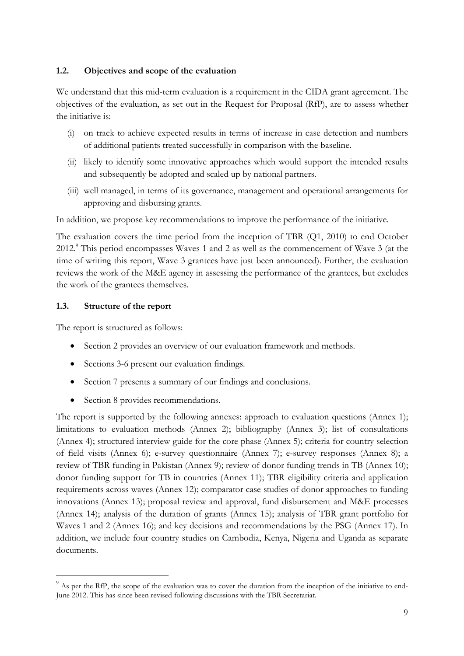### 1.2. Objectives and scope of the evaluation

We understand that this mid-term evaluation is a requirement in the CIDA grant agreement. The objectives of the evaluation, as set out in the Request for Proposal (RfP), are to assess whether the initiative is:

- (i) on track to achieve expected results in terms of increase in case detection and numbers of additional patients treated successfully in comparison with the baseline.
- (ii) likely to identify some innovative approaches which would support the intended results and subsequently be adopted and scaled up by national partners.
- (iii) well managed, in terms of its governance, management and operational arrangements for approving and disbursing grants.

In addition, we propose key recommendations to improve the performance of the initiative.

The evaluation covers the time period from the inception of TBR (Q1, 2010) to end October 2012.<sup>9</sup> This period encompasses Waves 1 and 2 as well as the commencement of Wave 3 (at the time of writing this report, Wave 3 grantees have just been announced). Further, the evaluation reviews the work of the M&E agency in assessing the performance of the grantees, but excludes the work of the grantees themselves.

### 1.3. Structure of the report

 $\overline{a}$ 

The report is structured as follows:

- Section 2 provides an overview of our evaluation framework and methods.
- Sections 3-6 present our evaluation findings.
- Section 7 presents a summary of our findings and conclusions.
- Section 8 provides recommendations.

The report is supported by the following annexes: approach to evaluation questions (Annex 1); limitations to evaluation methods (Annex 2); bibliography (Annex 3); list of consultations (Annex 4); structured interview guide for the core phase (Annex 5); criteria for country selection of field visits (Annex 6); e-survey questionnaire (Annex 7); e-survey responses (Annex 8); a review of TBR funding in Pakistan (Annex 9); review of donor funding trends in TB (Annex 10); donor funding support for TB in countries (Annex 11); TBR eligibility criteria and application requirements across waves (Annex 12); comparator case studies of donor approaches to funding innovations (Annex 13); proposal review and approval, fund disbursement and M&E processes (Annex 14); analysis of the duration of grants (Annex 15); analysis of TBR grant portfolio for Waves 1 and 2 (Annex 16); and key decisions and recommendations by the PSG (Annex 17). In addition, we include four country studies on Cambodia, Kenya, Nigeria and Uganda as separate documents.

<sup>&</sup>lt;sup>9</sup> As per the RfP, the scope of the evaluation was to cover the duration from the inception of the initiative to end-June 2012. This has since been revised following discussions with the TBR Secretariat.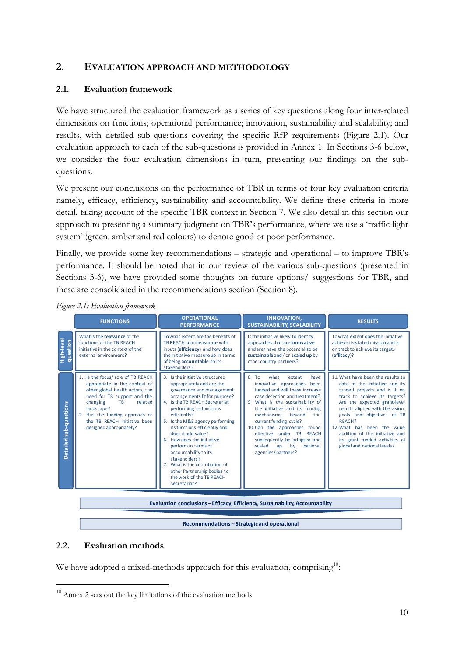# 2. EVALUATION APPROACH AND METHODOLOGY

### 2.1. Evaluation framework

We have structured the evaluation framework as a series of key questions along four inter-related dimensions on functions; operational performance; innovation, sustainability and scalability; and results, with detailed sub-questions covering the specific RfP requirements (Figure 2.1). Our evaluation approach to each of the sub-questions is provided in Annex 1. In Sections 3-6 below, we consider the four evaluation dimensions in turn, presenting our findings on the subquestions.

We present our conclusions on the performance of TBR in terms of four key evaluation criteria namely, efficacy, efficiency, sustainability and accountability. We define these criteria in more detail, taking account of the specific TBR context in Section 7. We also detail in this section our approach to presenting a summary judgment on TBR's performance, where we use a 'traffic light system' (green, amber and red colours) to denote good or poor performance.

Finally, we provide some key recommendations – strategic and operational – to improve TBR's performance. It should be noted that in our review of the various sub-questions (presented in Sections 3-6), we have provided some thoughts on future options/ suggestions for TBR, and these are consolidated in the recommendations section (Section 8).

|                        | <b>FUNCTIONS</b>                                                                                                                                                                                                                                                             | <b>OPERATIONAL</b><br><b>PERFORMANCE</b>                                                                                                                                                                                                                                                                                                                                                                                                                                                                       | <b>INNOVATION.</b><br><b>SUSTAINABILITY, SCALABILITY</b>                                                                                                                                                                                                                                                                                                                                                                               | <b>RESULTS</b>                                                                                                                                                                                                                                                                                                                                                                     |  |
|------------------------|------------------------------------------------------------------------------------------------------------------------------------------------------------------------------------------------------------------------------------------------------------------------------|----------------------------------------------------------------------------------------------------------------------------------------------------------------------------------------------------------------------------------------------------------------------------------------------------------------------------------------------------------------------------------------------------------------------------------------------------------------------------------------------------------------|----------------------------------------------------------------------------------------------------------------------------------------------------------------------------------------------------------------------------------------------------------------------------------------------------------------------------------------------------------------------------------------------------------------------------------------|------------------------------------------------------------------------------------------------------------------------------------------------------------------------------------------------------------------------------------------------------------------------------------------------------------------------------------------------------------------------------------|--|
| High-level<br>question | What is the relevance of the<br>functions of the TB REACH<br>initiative in the context of the<br>external environment?                                                                                                                                                       | To what extent are the benefits of<br>TB REACH commensurate with<br>inputs (efficiency) and how does<br>the initiative measure up in terms<br>of being accountable to its<br>stakeholders?                                                                                                                                                                                                                                                                                                                     | Is the initiative likely to identify<br>approaches that are innovative<br>and are/have the potential to be<br>sustainable and / or scaled up by<br>other country partners?                                                                                                                                                                                                                                                             | To what extent does the initiative<br>achieve its stated mission and is<br>on track to achieve its targets<br>(efficacy)?                                                                                                                                                                                                                                                          |  |
| Detailed sub-questions | 1. Is the focus/ role of TB REACH<br>appropriate in the context of<br>other global health actors, the<br>need for TB support and the<br>related<br>changing<br>TB<br>landscape?<br>2. Has the funding approach of<br>the TB REACH initiative been<br>designed appropriately? | 3. Is the initiative structured<br>appropriately and are the<br>governance and management<br>arrangements fit for purpose?<br>4. Is the TB REACH Secretariat<br>performing its functions<br>efficiently?<br>5. Is the M&E agency performing<br>its functions efficiently and<br>does it add value?<br>6. How does the initiative<br>perform in terms of<br>accountability to its<br>stakeholders?<br>7. What is the contribution of<br>other Partnership bodies to<br>the work of the TB REACH<br>Secretariat? | 8T <sub>0</sub><br>what<br>extent<br>have<br>innovative approaches<br>been<br>funded and will these increase<br>case detection and treatment?<br>9. What is the sustainability of<br>the initiative and its funding<br>mechanisms<br>beyond<br>the<br>current funding cycle?<br>10. Can the approaches found<br>effective under TB REACH<br>subsequently be adopted and<br>scaled<br><b>up</b><br>by<br>national<br>agencies/partners? | 11. What have been the results to<br>date of the initiative and its<br>funded projects and is it on<br>track to achieve its targets?<br>Are the expected grant-level<br>results aligned with the vision,<br>goals and objectives of TB<br>REACH?<br>12. What has been the value<br>addition of the initiative and<br>its grant funded activities at<br>global and national levels? |  |
|                        | Evaluation conclusions - Efficacy, Efficiency, Sustainability, Accountability                                                                                                                                                                                                |                                                                                                                                                                                                                                                                                                                                                                                                                                                                                                                |                                                                                                                                                                                                                                                                                                                                                                                                                                        |                                                                                                                                                                                                                                                                                                                                                                                    |  |

### Figure 2.1: Evaluation framework

Recommendations – Strategic and operational

### 2.2. Evaluation methods

l

We have adopted a mixed-methods approach for this evaluation, comprising<sup>10</sup>:

 $10$  Annex 2 sets out the key limitations of the evaluation methods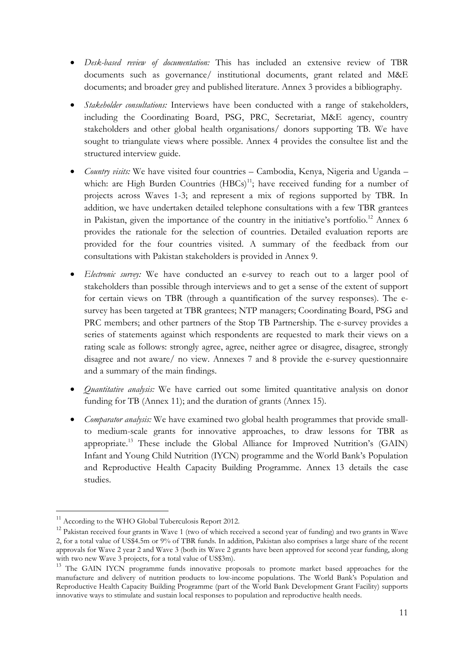- Desk-based review of documentation: This has included an extensive review of TBR documents such as governance/ institutional documents, grant related and M&E documents; and broader grey and published literature. Annex 3 provides a bibliography.
- *Stakeholder consultations:* Interviews have been conducted with a range of stakeholders, including the Coordinating Board, PSG, PRC, Secretariat, M&E agency, country stakeholders and other global health organisations/ donors supporting TB. We have sought to triangulate views where possible. Annex 4 provides the consultee list and the structured interview guide.
- *Country visits:* We have visited four countries Cambodia, Kenya, Nigeria and Uganda which: are High Burden Countries  $(HBCs)^{11}$ ; have received funding for a number of projects across Waves 1-3; and represent a mix of regions supported by TBR. In addition, we have undertaken detailed telephone consultations with a few TBR grantees in Pakistan, given the importance of the country in the initiative's portfolio.<sup>12</sup> Annex 6 provides the rationale for the selection of countries. Detailed evaluation reports are provided for the four countries visited. A summary of the feedback from our consultations with Pakistan stakeholders is provided in Annex 9.
- *Electronic survey*: We have conducted an e-survey to reach out to a larger pool of stakeholders than possible through interviews and to get a sense of the extent of support for certain views on TBR (through a quantification of the survey responses). The esurvey has been targeted at TBR grantees; NTP managers; Coordinating Board, PSG and PRC members; and other partners of the Stop TB Partnership. The e-survey provides a series of statements against which respondents are requested to mark their views on a rating scale as follows: strongly agree, agree, neither agree or disagree, disagree, strongly disagree and not aware/ no view. Annexes 7 and 8 provide the e-survey questionnaire and a summary of the main findings.
- *Quantitative analysis:* We have carried out some limited quantitative analysis on donor funding for TB (Annex 11); and the duration of grants (Annex 15).
- *Comparator analysis:* We have examined two global health programmes that provide smallto medium-scale grants for innovative approaches, to draw lessons for TBR as appropriate.<sup>13</sup> These include the Global Alliance for Improved Nutrition's (GAIN) Infant and Young Child Nutrition (IYCN) programme and the World Bank's Population and Reproductive Health Capacity Building Programme. Annex 13 details the case studies.

<sup>&</sup>lt;sup>11</sup> According to the WHO Global Tuberculosis Report 2012.

<sup>&</sup>lt;sup>12</sup> Pakistan received four grants in Wave 1 (two of which received a second year of funding) and two grants in Wave 2, for a total value of US\$4.5m or 9% of TBR funds. In addition, Pakistan also comprises a large share of the recent approvals for Wave 2 year 2 and Wave 3 (both its Wave 2 grants have been approved for second year funding, along with two new Wave 3 projects, for a total value of US\$3m).

<sup>&</sup>lt;sup>13</sup> The GAIN IYCN programme funds innovative proposals to promote market based approaches for the manufacture and delivery of nutrition products to low-income populations. The World Bank's Population and Reproductive Health Capacity Building Programme (part of the World Bank Development Grant Facility) supports innovative ways to stimulate and sustain local responses to population and reproductive health needs.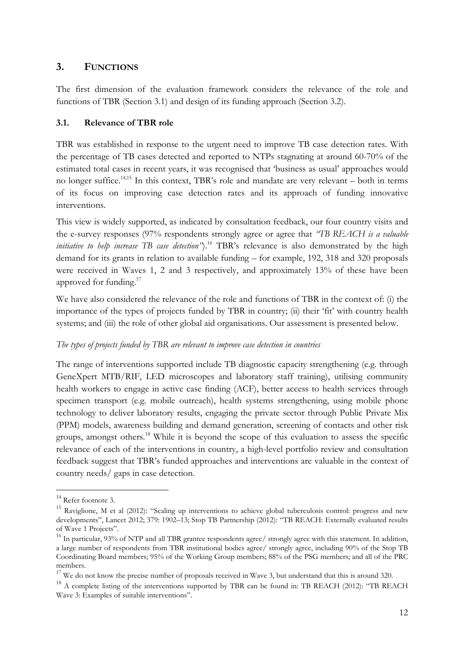# 3. FUNCTIONS

The first dimension of the evaluation framework considers the relevance of the role and functions of TBR (Section 3.1) and design of its funding approach (Section 3.2).

## 3.1. Relevance of TBR role

TBR was established in response to the urgent need to improve TB case detection rates. With the percentage of TB cases detected and reported to NTPs stagnating at around 60-70% of the estimated total cases in recent years, it was recognised that 'business as usual' approaches would no longer suffice.14,15 In this context, TBR's role and mandate are very relevant – both in terms of its focus on improving case detection rates and its approach of funding innovative interventions.

This view is widely supported, as indicated by consultation feedback, our four country visits and the e-survey responses (97% respondents strongly agree or agree that "TB REACH is a valuable initiative to help increase TB case detection").<sup>16</sup> TBR's relevance is also demonstrated by the high demand for its grants in relation to available funding – for example, 192, 318 and 320 proposals were received in Waves 1, 2 and 3 respectively, and approximately 13% of these have been approved for funding.<sup>17</sup>

We have also considered the relevance of the role and functions of TBR in the context of: (i) the importance of the types of projects funded by TBR in country; (ii) their 'fit' with country health systems; and (iii) the role of other global aid organisations. Our assessment is presented below.

## The types of projects funded by TBR are relevant to improve case detection in countries

The range of interventions supported include TB diagnostic capacity strengthening (e.g. through GeneXpert MTB/RIF, LED microscopes and laboratory staff training), utilising community health workers to engage in active case finding (ACF), better access to health services through specimen transport (e.g. mobile outreach), health systems strengthening, using mobile phone technology to deliver laboratory results, engaging the private sector through Public Private Mix (PPM) models, awareness building and demand generation, screening of contacts and other risk groups, amongst others.<sup>18</sup> While it is beyond the scope of this evaluation to assess the specific relevance of each of the interventions in country, a high-level portfolio review and consultation feedback suggest that TBR's funded approaches and interventions are valuable in the context of country needs/ gaps in case detection.

<sup>&</sup>lt;sup>14</sup> Refer footnote 3.

<sup>&</sup>lt;sup>15</sup> Raviglione, M et al (2012): "Scaling up interventions to achieve global tuberculosis control: progress and new developments", Lancet 2012; 379: 1902–13; Stop TB Partnership (2012): "TB REACH: Externally evaluated results of Wave 1 Projects".

 $^{16}$  In particular, 93% of NTP and all TBR grantee respondents agree/ strongly agree with this statement. In addition, a large number of respondents from TBR institutional bodies agree/ strongly agree, including 90% of the Stop TB Coordinating Board members; 95% of the Working Group members; 88% of the PSG members; and all of the PRC members.

<sup>&</sup>lt;sup>17</sup> We do not know the precise number of proposals received in Wave 3, but understand that this is around 320.

<sup>&</sup>lt;sup>18</sup> A complete listing of the interventions supported by TBR can be found in: TB REACH (2012): "TB REACH Wave 3: Examples of suitable interventions".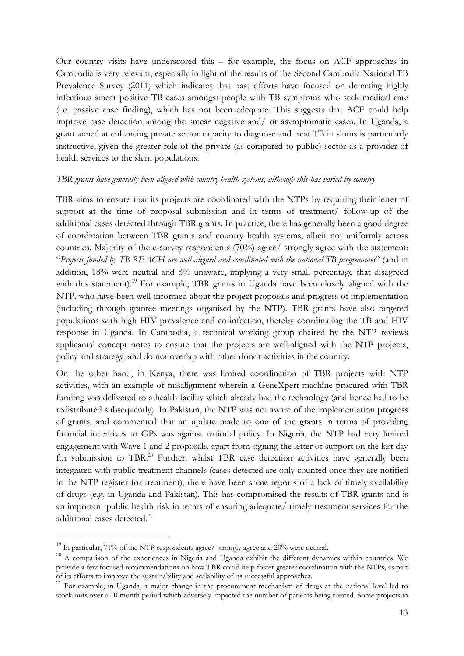Our country visits have underscored this – for example, the focus on ACF approaches in Cambodia is very relevant, especially in light of the results of the Second Cambodia National TB Prevalence Survey (2011) which indicates that past efforts have focused on detecting highly infectious smear positive TB cases amongst people with TB symptoms who seek medical care (i.e. passive case finding), which has not been adequate. This suggests that ACF could help improve case detection among the smear negative and/ or asymptomatic cases. In Uganda, a grant aimed at enhancing private sector capacity to diagnose and treat TB in slums is particularly instructive, given the greater role of the private (as compared to public) sector as a provider of health services to the slum populations.

### TBR grants have generally been aligned with country health systems, although this has varied by country

TBR aims to ensure that its projects are coordinated with the NTPs by requiring their letter of support at the time of proposal submission and in terms of treatment/ follow-up of the additional cases detected through TBR grants. In practice, there has generally been a good degree of coordination between TBR grants and country health systems, albeit not uniformly across countries. Majority of the e-survey respondents (70%) agree/ strongly agree with the statement: "Projects funded by TB REACH are well aligned and coordinated with the national TB programmes" (and in addition, 18% were neutral and 8% unaware, implying a very small percentage that disagreed with this statement).<sup>19</sup> For example, TBR grants in Uganda have been closely aligned with the NTP, who have been well-informed about the project proposals and progress of implementation (including through grantee meetings organised by the NTP). TBR grants have also targeted populations with high HIV prevalence and co-infection, thereby coordinating the TB and HIV response in Uganda. In Cambodia, a technical working group chaired by the NTP reviews applicants' concept notes to ensure that the projects are well-aligned with the NTP projects, policy and strategy, and do not overlap with other donor activities in the country.

On the other hand, in Kenya, there was limited coordination of TBR projects with NTP activities, with an example of misalignment wherein a GeneXpert machine procured with TBR funding was delivered to a health facility which already had the technology (and hence had to be redistributed subsequently). In Pakistan, the NTP was not aware of the implementation progress of grants, and commented that an update made to one of the grants in terms of providing financial incentives to GPs was against national policy. In Nigeria, the NTP had very limited engagement with Wave 1 and 2 proposals, apart from signing the letter of support on the last day for submission to TBR.<sup>20</sup> Further, whilst TBR case detection activities have generally been integrated with public treatment channels (cases detected are only counted once they are notified in the NTP register for treatment), there have been some reports of a lack of timely availability of drugs (e.g. in Uganda and Pakistan). This has compromised the results of TBR grants and is an important public health risk in terms of ensuring adequate/ timely treatment services for the additional cases detected.<sup>21</sup>

 $^{19}$  In particular, 71% of the NTP respondents agree/ strongly agree and 20% were neutral.

<sup>&</sup>lt;sup>20</sup> A comparison of the experiences in Nigeria and Uganda exhibit the different dynamics within countries. We provide a few focused recommendations on how TBR could help foster greater coordination with the NTPs, as part of its efforts to improve the sustainability and scalability of its successful approaches.

<sup>&</sup>lt;sup>21</sup> For example, in Uganda, a major change in the procurement mechanism of drugs at the national level led to stock-outs over a 10 month period which adversely impacted the number of patients being treated. Some projects in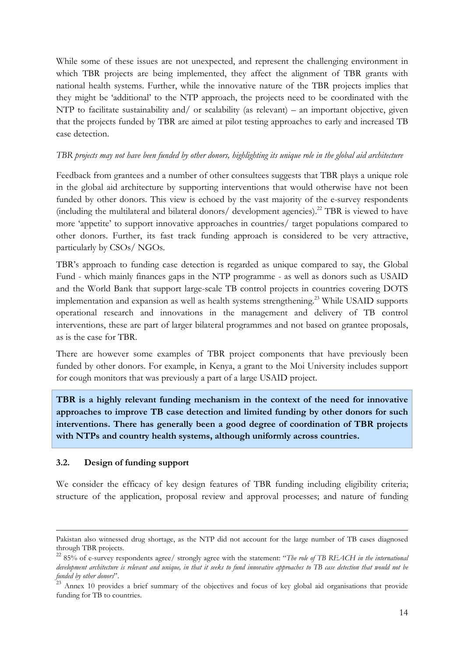While some of these issues are not unexpected, and represent the challenging environment in which TBR projects are being implemented, they affect the alignment of TBR grants with national health systems. Further, while the innovative nature of the TBR projects implies that they might be 'additional' to the NTP approach, the projects need to be coordinated with the NTP to facilitate sustainability and/ or scalability (as relevant) – an important objective, given that the projects funded by TBR are aimed at pilot testing approaches to early and increased TB case detection.

### TBR projects may not have been funded by other donors, highlighting its unique role in the global aid architecture

Feedback from grantees and a number of other consultees suggests that TBR plays a unique role in the global aid architecture by supporting interventions that would otherwise have not been funded by other donors. This view is echoed by the vast majority of the e-survey respondents (including the multilateral and bilateral donors/ development agencies).<sup>22</sup> TBR is viewed to have more 'appetite' to support innovative approaches in countries/ target populations compared to other donors. Further, its fast track funding approach is considered to be very attractive, particularly by CSOs/ NGOs.

TBR's approach to funding case detection is regarded as unique compared to say, the Global Fund - which mainly finances gaps in the NTP programme - as well as donors such as USAID and the World Bank that support large-scale TB control projects in countries covering DOTS implementation and expansion as well as health systems strengthening.<sup>23</sup> While USAID supports operational research and innovations in the management and delivery of TB control interventions, these are part of larger bilateral programmes and not based on grantee proposals, as is the case for TBR.

There are however some examples of TBR project components that have previously been funded by other donors. For example, in Kenya, a grant to the Moi University includes support for cough monitors that was previously a part of a large USAID project.

TBR is a highly relevant funding mechanism in the context of the need for innovative approaches to improve TB case detection and limited funding by other donors for such interventions. There has generally been a good degree of coordination of TBR projects with NTPs and country health systems, although uniformly across countries.

### 3.2. Design of funding support

l

We consider the efficacy of key design features of TBR funding including eligibility criteria; structure of the application, proposal review and approval processes; and nature of funding

Pakistan also witnessed drug shortage, as the NTP did not account for the large number of TB cases diagnosed through TBR projects.

 $22$  85% of e-survey respondents agree/ strongly agree with the statement: "The role of TB REACH in the international development architecture is relevant and unique, in that it seeks to fund innovative approaches to TB case detection that would not be funded by other donors".

<sup>&</sup>lt;sup>23</sup> Annex 10 provides a brief summary of the objectives and focus of key global aid organisations that provide funding for TB to countries.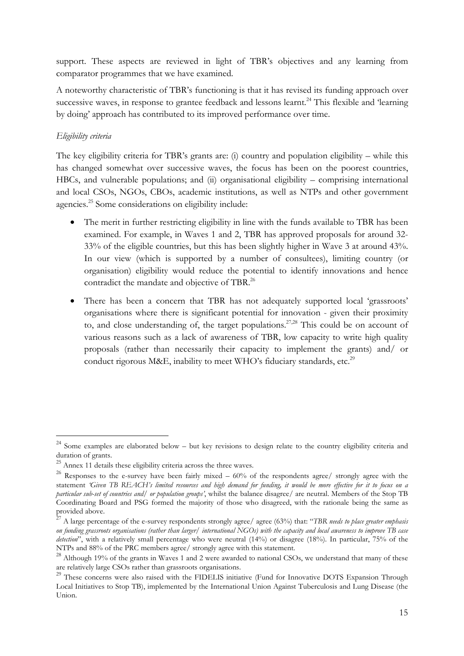support. These aspects are reviewed in light of TBR's objectives and any learning from comparator programmes that we have examined.

A noteworthy characteristic of TBR's functioning is that it has revised its funding approach over successive waves, in response to grantee feedback and lessons learnt.<sup>24</sup> This flexible and 'learning by doing' approach has contributed to its improved performance over time.

# Eligibility criteria

l

The key eligibility criteria for TBR's grants are: (i) country and population eligibility – while this has changed somewhat over successive waves, the focus has been on the poorest countries, HBCs, and vulnerable populations; and (ii) organisational eligibility – comprising international and local CSOs, NGOs, CBOs, academic institutions, as well as NTPs and other government agencies.<sup>25</sup> Some considerations on eligibility include:

- The merit in further restricting eligibility in line with the funds available to TBR has been examined. For example, in Waves 1 and 2, TBR has approved proposals for around 32- 33% of the eligible countries, but this has been slightly higher in Wave 3 at around 43%. In our view (which is supported by a number of consultees), limiting country (or organisation) eligibility would reduce the potential to identify innovations and hence contradict the mandate and objective of TBR.<sup>26</sup>
- There has been a concern that TBR has not adequately supported local 'grassroots' organisations where there is significant potential for innovation - given their proximity to, and close understanding of, the target populations.<sup>27,28</sup> This could be on account of various reasons such as a lack of awareness of TBR, low capacity to write high quality proposals (rather than necessarily their capacity to implement the grants) and/ or conduct rigorous M&E, inability to meet WHO's fiduciary standards, etc.<sup>29</sup>

<sup>&</sup>lt;sup>24</sup> Some examples are elaborated below – but key revisions to design relate to the country eligibility criteria and duration of grants.

<sup>&</sup>lt;sup>25</sup> Annex 11 details these eligibility criteria across the three waves.

<sup>&</sup>lt;sup>26</sup> Responses to the e-survey have been fairly mixed –  $60\%$  of the respondents agree/ strongly agree with the statement 'Given TB REACH's limited resources and high demand for funding, it would be more effective for it to focus on a particular sub-set of countries and/ or population groups', whilst the balance disagree/ are neutral. Members of the Stop TB Coordinating Board and PSG formed the majority of those who disagreed, with the rationale being the same as provided above.

<sup>&</sup>lt;sup>27</sup> A large percentage of the e-survey respondents strongly agree/agree (63%) that: "TBR needs to place greater emphasis on funding grassroots organisations (rather than larger/ international NGOs) with the capacity and local awareness to improve TB case detection", with a relatively small percentage who were neutral (14%) or disagree (18%). In particular, 75% of the NTPs and 88% of the PRC members agree/ strongly agree with this statement.

<sup>&</sup>lt;sup>28</sup> Although 19% of the grants in Waves 1 and 2 were awarded to national CSOs, we understand that many of these are relatively large CSOs rather than grassroots organisations.

<sup>&</sup>lt;sup>29</sup> These concerns were also raised with the FIDELIS initiative (Fund for Innovative DOTS Expansion Through Local Initiatives to Stop TB), implemented by the International Union Against Tuberculosis and Lung Disease (the Union.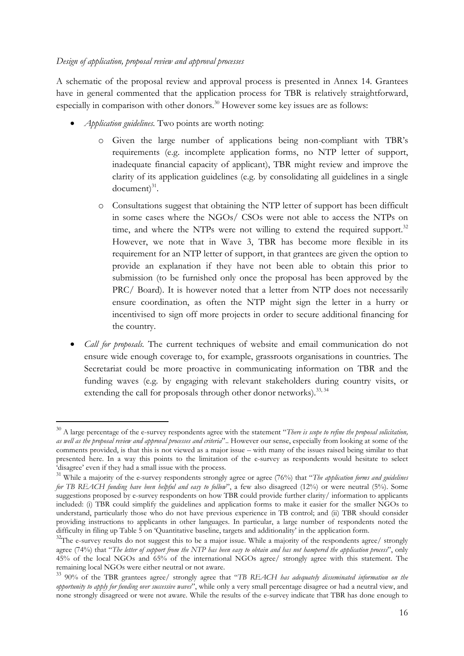### Design of application, proposal review and approval processes

l

A schematic of the proposal review and approval process is presented in Annex 14. Grantees have in general commented that the application process for TBR is relatively straightforward, especially in comparison with other donors.<sup>30</sup> However some key issues are as follows:

- *Application guidelines*. Two points are worth noting:
	- o Given the large number of applications being non-compliant with TBR's requirements (e.g. incomplete application forms, no NTP letter of support, inadequate financial capacity of applicant), TBR might review and improve the clarity of its application guidelines (e.g. by consolidating all guidelines in a single  $document)^{31}.$
	- o Consultations suggest that obtaining the NTP letter of support has been difficult in some cases where the NGOs/ CSOs were not able to access the NTPs on time, and where the NTPs were not willing to extend the required support.<sup>32</sup> However, we note that in Wave 3, TBR has become more flexible in its requirement for an NTP letter of support, in that grantees are given the option to provide an explanation if they have not been able to obtain this prior to submission (to be furnished only once the proposal has been approved by the PRC/ Board). It is however noted that a letter from NTP does not necessarily ensure coordination, as often the NTP might sign the letter in a hurry or incentivised to sign off more projects in order to secure additional financing for the country.
- *Call for proposals*. The current techniques of website and email communication do not ensure wide enough coverage to, for example, grassroots organisations in countries. The Secretariat could be more proactive in communicating information on TBR and the funding waves (e.g. by engaging with relevant stakeholders during country visits, or extending the call for proposals through other donor networks).  $^{33,34}$

 $30$  A large percentage of the e-survey respondents agree with the statement "There is scope to refine the proposal solicitation, as well as the proposal review and approval processes and criteria".. However our sense, especially from looking at some of the comments provided, is that this is not viewed as a major issue – with many of the issues raised being similar to that presented here. In a way this points to the limitation of the e-survey as respondents would hesitate to select 'disagree' even if they had a small issue with the process.

<sup>&</sup>lt;sup>31</sup> While a majority of the e-survey respondents strongly agree or agree (76%) that "The application forms and guidelines for TB REACH funding have been helpful and easy to follow", a few also disagreed (12%) or were neutral (5%). Some suggestions proposed by e-survey respondents on how TBR could provide further clarity/ information to applicants included: (i) TBR could simplify the guidelines and application forms to make it easier for the smaller NGOs to understand, particularly those who do not have previous experience in TB control; and (ii) TBR should consider providing instructions to applicants in other languages. In particular, a large number of respondents noted the difficulty in filing up Table 5 on 'Quantitative baseline, targets and additionality' in the application form.

<sup>&</sup>lt;sup>32</sup>The e-survey results do not suggest this to be a major issue. While a majority of the respondents agree/ strongly agree (74%) that "The letter of support from the NTP has been easy to obtain and has not hampered the application process", only 45% of the local NGOs and 65% of the international NGOs agree/ strongly agree with this statement. The remaining local NGOs were either neutral or not aware.

<sup>&</sup>lt;sup>33</sup> 90% of the TBR grantees agree/ strongly agree that "TB REACH has adequately disseminated information on the opportunity to apply for funding over successive waves", while only a very small percentage disagree or had a neutral view, and none strongly disagreed or were not aware. While the results of the e-survey indicate that TBR has done enough to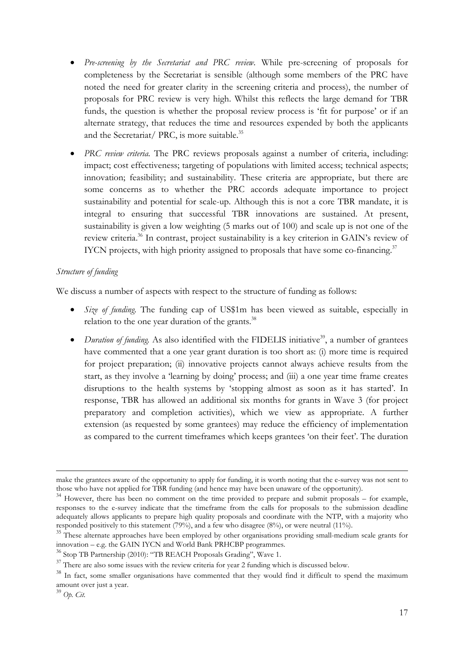- Pre-screening by the Secretariat and PRC review. While pre-screening of proposals for completeness by the Secretariat is sensible (although some members of the PRC have noted the need for greater clarity in the screening criteria and process), the number of proposals for PRC review is very high. Whilst this reflects the large demand for TBR funds, the question is whether the proposal review process is 'fit for purpose' or if an alternate strategy, that reduces the time and resources expended by both the applicants and the Secretariat/ PRC, is more suitable.<sup>35</sup>
- PRC review criteria. The PRC reviews proposals against a number of criteria, including: impact; cost effectiveness; targeting of populations with limited access; technical aspects; innovation; feasibility; and sustainability. These criteria are appropriate, but there are some concerns as to whether the PRC accords adequate importance to project sustainability and potential for scale-up. Although this is not a core TBR mandate, it is integral to ensuring that successful TBR innovations are sustained. At present, sustainability is given a low weighting (5 marks out of 100) and scale up is not one of the review criteria.<sup>36</sup> In contrast, project sustainability is a key criterion in GAIN's review of IYCN projects, with high priority assigned to proposals that have some co-financing. $37$

### Structure of funding

We discuss a number of aspects with respect to the structure of funding as follows:

- Size of funding. The funding cap of US\$1m has been viewed as suitable, especially in relation to the one year duration of the grants. $^{38}$
- *Duration of funding*. As also identified with the FIDELIS initiative<sup>39</sup>, a number of grantees have commented that a one year grant duration is too short as: (i) more time is required for project preparation; (ii) innovative projects cannot always achieve results from the start, as they involve a 'learning by doing' process; and (iii) a one year time frame creates disruptions to the health systems by 'stopping almost as soon as it has started'. In response, TBR has allowed an additional six months for grants in Wave 3 (for project preparatory and completion activities), which we view as appropriate. A further extension (as requested by some grantees) may reduce the efficiency of implementation as compared to the current timeframes which keeps grantees 'on their feet'. The duration

 $\overline{a}$ make the grantees aware of the opportunity to apply for funding, it is worth noting that the e-survey was not sent to those who have not applied for TBR funding (and hence may have been unaware of the opportunity).

 $34$  However, there has been no comment on the time provided to prepare and submit proposals – for example, responses to the e-survey indicate that the timeframe from the calls for proposals to the submission deadline adequately allows applicants to prepare high quality proposals and coordinate with the NTP, with a majority who responded positively to this statement (79%), and a few who disagree (8%), or were neutral (11%).

<sup>&</sup>lt;sup>35</sup> These alternate approaches have been employed by other organisations providing small-medium scale grants for innovation – e.g. the GAIN IYCN and World Bank PRHCBP programmes.

<sup>36</sup> Stop TB Partnership (2010): "TB REACH Proposals Grading", Wave 1.

 $37$  There are also some issues with the review criteria for year 2 funding which is discussed below.

<sup>&</sup>lt;sup>38</sup> In fact, some smaller organisations have commented that they would find it difficult to spend the maximum amount over just a year.

 $39$  Op. Cit.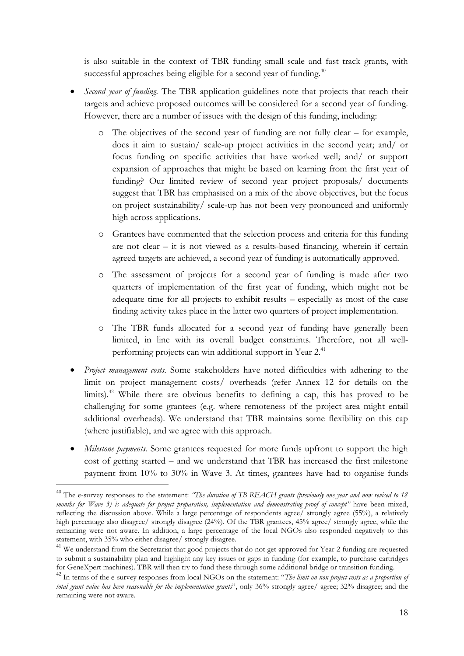is also suitable in the context of TBR funding small scale and fast track grants, with successful approaches being eligible for a second year of funding. $40$ 

- Second year of funding. The TBR application guidelines note that projects that reach their targets and achieve proposed outcomes will be considered for a second year of funding. However, there are a number of issues with the design of this funding, including:
	- o The objectives of the second year of funding are not fully clear for example, does it aim to sustain/ scale-up project activities in the second year; and/ or focus funding on specific activities that have worked well; and/ or support expansion of approaches that might be based on learning from the first year of funding? Our limited review of second year project proposals/ documents suggest that TBR has emphasised on a mix of the above objectives, but the focus on project sustainability/ scale-up has not been very pronounced and uniformly high across applications.
	- o Grantees have commented that the selection process and criteria for this funding are not clear – it is not viewed as a results-based financing, wherein if certain agreed targets are achieved, a second year of funding is automatically approved.
	- o The assessment of projects for a second year of funding is made after two quarters of implementation of the first year of funding, which might not be adequate time for all projects to exhibit results – especially as most of the case finding activity takes place in the latter two quarters of project implementation.
	- o The TBR funds allocated for a second year of funding have generally been limited, in line with its overall budget constraints. Therefore, not all wellperforming projects can win additional support in Year 2.<sup>41</sup>
- Project management costs. Some stakeholders have noted difficulties with adhering to the limit on project management costs/ overheads (refer Annex 12 for details on the limits).<sup>42</sup> While there are obvious benefits to defining a cap, this has proved to be challenging for some grantees (e.g. where remoteness of the project area might entail additional overheads). We understand that TBR maintains some flexibility on this cap (where justifiable), and we agree with this approach.
- Milestone payments. Some grantees requested for more funds upfront to support the high cost of getting started – and we understand that TBR has increased the first milestone payment from 10% to 30% in Wave 3. At times, grantees have had to organise funds

 $\overline{a}$ 

 $40$  The e-survey responses to the statement: "The duration of TB REACH grants (previously one year and now revised to 18 months for Wave 3) is adequate for project preparation, implementation and demonstrating proof of concept" have been mixed, reflecting the discussion above. While a large percentage of respondents agree/ strongly agree (55%), a relatively high percentage also disagree/ strongly disagree (24%). Of the TBR grantees, 45% agree/ strongly agree, while the remaining were not aware. In addition, a large percentage of the local NGOs also responded negatively to this statement, with 35% who either disagree/ strongly disagree.

<sup>&</sup>lt;sup>41</sup> We understand from the Secretariat that good projects that do not get approved for Year 2 funding are requested to submit a sustainability plan and highlight any key issues or gaps in funding (for example, to purchase cartridges for GeneXpert machines). TBR will then try to fund these through some additional bridge or transition funding.

<sup>&</sup>lt;sup>42</sup> In terms of the e-survey responses from local NGOs on the statement: "The limit on non-project costs as a proportion of total grant value has been reasonable for the implementation grants", only 36% strongly agree/ agree; 32% disagree; and the remaining were not aware.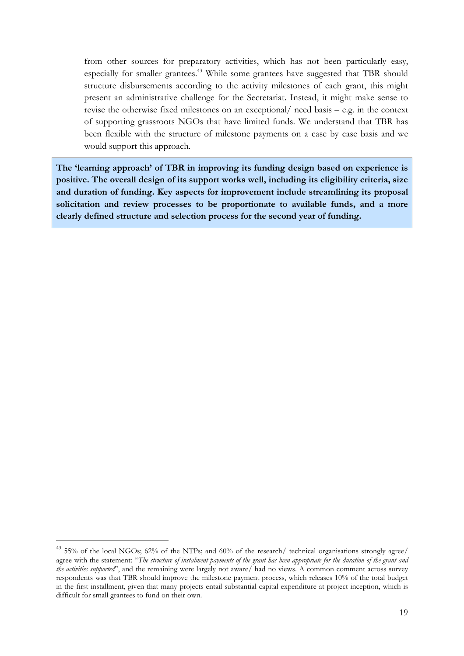from other sources for preparatory activities, which has not been particularly easy, especially for smaller grantees.<sup>43</sup> While some grantees have suggested that TBR should structure disbursements according to the activity milestones of each grant, this might present an administrative challenge for the Secretariat. Instead, it might make sense to revise the otherwise fixed milestones on an exceptional/ need basis – e.g. in the context of supporting grassroots NGOs that have limited funds. We understand that TBR has been flexible with the structure of milestone payments on a case by case basis and we would support this approach.

The 'learning approach' of TBR in improving its funding design based on experience is positive. The overall design of its support works well, including its eligibility criteria, size and duration of funding. Key aspects for improvement include streamlining its proposal solicitation and review processes to be proportionate to available funds, and a more clearly defined structure and selection process for the second year of funding.

 $\overline{a}$ 

<sup>43</sup> 55% of the local NGOs; 62% of the NTPs; and 60% of the research/ technical organisations strongly agree/ agree with the statement: "The structure of instalment payments of the grant has been appropriate for the duration of the grant and the activities supported", and the remaining were largely not aware/ had no views. A common comment across survey respondents was that TBR should improve the milestone payment process, which releases 10% of the total budget in the first installment, given that many projects entail substantial capital expenditure at project inception, which is difficult for small grantees to fund on their own.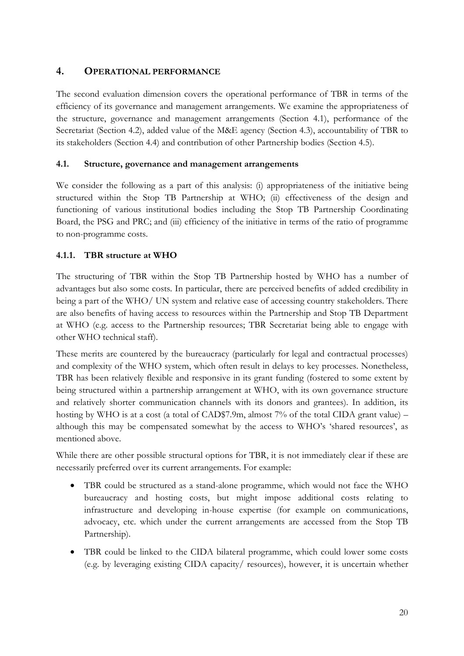# 4. OPERATIONAL PERFORMANCE

The second evaluation dimension covers the operational performance of TBR in terms of the efficiency of its governance and management arrangements. We examine the appropriateness of the structure, governance and management arrangements (Section 4.1), performance of the Secretariat (Section 4.2), added value of the M&E agency (Section 4.3), accountability of TBR to its stakeholders (Section 4.4) and contribution of other Partnership bodies (Section 4.5).

## 4.1. Structure, governance and management arrangements

We consider the following as a part of this analysis: (i) appropriateness of the initiative being structured within the Stop TB Partnership at WHO; (ii) effectiveness of the design and functioning of various institutional bodies including the Stop TB Partnership Coordinating Board, the PSG and PRC; and (iii) efficiency of the initiative in terms of the ratio of programme to non-programme costs.

## 4.1.1. TBR structure at WHO

The structuring of TBR within the Stop TB Partnership hosted by WHO has a number of advantages but also some costs. In particular, there are perceived benefits of added credibility in being a part of the WHO/ UN system and relative ease of accessing country stakeholders. There are also benefits of having access to resources within the Partnership and Stop TB Department at WHO (e.g. access to the Partnership resources; TBR Secretariat being able to engage with other WHO technical staff).

These merits are countered by the bureaucracy (particularly for legal and contractual processes) and complexity of the WHO system, which often result in delays to key processes. Nonetheless, TBR has been relatively flexible and responsive in its grant funding (fostered to some extent by being structured within a partnership arrangement at WHO, with its own governance structure and relatively shorter communication channels with its donors and grantees). In addition, its hosting by WHO is at a cost (a total of CAD\$7.9m, almost 7% of the total CIDA grant value) – although this may be compensated somewhat by the access to WHO's 'shared resources', as mentioned above.

While there are other possible structural options for TBR, it is not immediately clear if these are necessarily preferred over its current arrangements. For example:

- TBR could be structured as a stand-alone programme, which would not face the WHO bureaucracy and hosting costs, but might impose additional costs relating to infrastructure and developing in-house expertise (for example on communications, advocacy, etc. which under the current arrangements are accessed from the Stop TB Partnership).
- TBR could be linked to the CIDA bilateral programme, which could lower some costs (e.g. by leveraging existing CIDA capacity/ resources), however, it is uncertain whether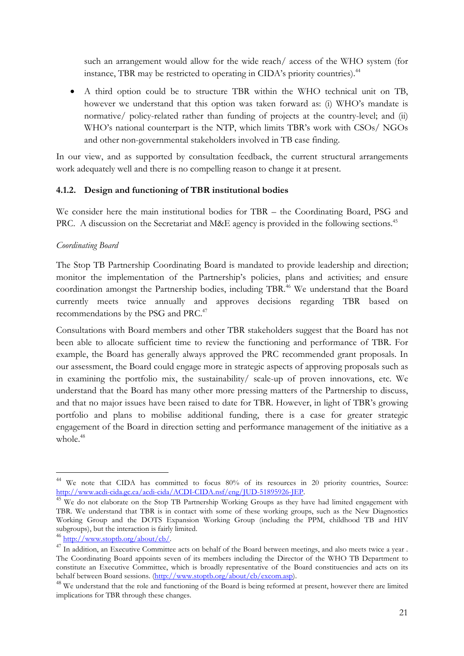such an arrangement would allow for the wide reach/ access of the WHO system (for instance, TBR may be restricted to operating in CIDA's priority countries).<sup>44</sup>

• A third option could be to structure TBR within the WHO technical unit on TB, however we understand that this option was taken forward as: (i) WHO's mandate is normative/ policy-related rather than funding of projects at the country-level; and (ii) WHO's national counterpart is the NTP, which limits TBR's work with CSOs/ NGOs and other non-governmental stakeholders involved in TB case finding.

In our view, and as supported by consultation feedback, the current structural arrangements work adequately well and there is no compelling reason to change it at present.

## 4.1.2. Design and functioning of TBR institutional bodies

We consider here the main institutional bodies for TBR – the Coordinating Board, PSG and PRC. A discussion on the Secretariat and M&E agency is provided in the following sections.<sup>45</sup>

### Coordinating Board

The Stop TB Partnership Coordinating Board is mandated to provide leadership and direction; monitor the implementation of the Partnership's policies, plans and activities; and ensure coordination amongst the Partnership bodies, including TBR.<sup>46</sup> We understand that the Board currently meets twice annually and approves decisions regarding TBR based on recommendations by the PSG and PRC.<sup>47</sup>

Consultations with Board members and other TBR stakeholders suggest that the Board has not been able to allocate sufficient time to review the functioning and performance of TBR. For example, the Board has generally always approved the PRC recommended grant proposals. In our assessment, the Board could engage more in strategic aspects of approving proposals such as in examining the portfolio mix, the sustainability/ scale-up of proven innovations, etc. We understand that the Board has many other more pressing matters of the Partnership to discuss, and that no major issues have been raised to date for TBR. However, in light of TBR's growing portfolio and plans to mobilise additional funding, there is a case for greater strategic engagement of the Board in direction setting and performance management of the initiative as a whole.<sup>48</sup>

 $\overline{a}$ 

<sup>&</sup>lt;sup>44</sup> We note that CIDA has committed to focus 80% of its resources in 20 priority countries, Source: http://www.acdi-cida.gc.ca/acdi-cida/ACDI-CIDA.nsf/eng/JUD-51895926-JEP.

<sup>&</sup>lt;sup>45</sup> We do not elaborate on the Stop TB Partnership Working Groups as they have had limited engagement with TBR. We understand that TBR is in contact with some of these working groups, such as the New Diagnostics Working Group and the DOTS Expansion Working Group (including the PPM, childhood TB and HIV subgroups), but the interaction is fairly limited.

<sup>46</sup> http://www.stoptb.org/about/cb/.

<sup>&</sup>lt;sup>47</sup> In addition, an Executive Committee acts on behalf of the Board between meetings, and also meets twice a year . The Coordinating Board appoints seven of its members including the Director of the WHO TB Department to constitute an Executive Committee, which is broadly representative of the Board constituencies and acts on its behalf between Board sessions. (http://www.stoptb.org/about/cb/excom.asp).

<sup>&</sup>lt;sup>48</sup> We understand that the role and functioning of the Board is being reformed at present, however there are limited implications for TBR through these changes.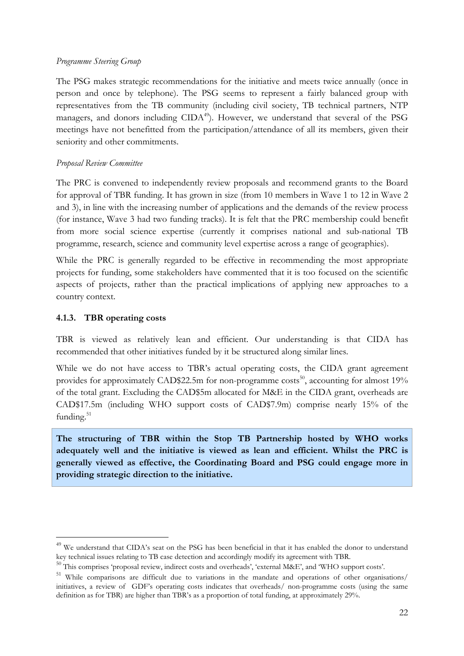### Programme Steering Group

The PSG makes strategic recommendations for the initiative and meets twice annually (once in person and once by telephone). The PSG seems to represent a fairly balanced group with representatives from the TB community (including civil society, TB technical partners, NTP managers, and donors including CIDA<sup>49</sup>). However, we understand that several of the PSG meetings have not benefitted from the participation/attendance of all its members, given their seniority and other commitments.

### Proposal Review Committee

The PRC is convened to independently review proposals and recommend grants to the Board for approval of TBR funding. It has grown in size (from 10 members in Wave 1 to 12 in Wave 2 and 3), in line with the increasing number of applications and the demands of the review process (for instance, Wave 3 had two funding tracks). It is felt that the PRC membership could benefit from more social science expertise (currently it comprises national and sub-national TB programme, research, science and community level expertise across a range of geographies).

While the PRC is generally regarded to be effective in recommending the most appropriate projects for funding, some stakeholders have commented that it is too focused on the scientific aspects of projects, rather than the practical implications of applying new approaches to a country context.

### 4.1.3. TBR operating costs

l

TBR is viewed as relatively lean and efficient. Our understanding is that CIDA has recommended that other initiatives funded by it be structured along similar lines.

While we do not have access to TBR's actual operating costs, the CIDA grant agreement provides for approximately CAD\$22.5m for non-programme costs<sup>50</sup>, accounting for almost  $19\%$ of the total grant. Excluding the CAD\$5m allocated for M&E in the CIDA grant, overheads are CAD\$17.5m (including WHO support costs of CAD\$7.9m) comprise nearly 15% of the funding.<sup>51</sup>

The structuring of TBR within the Stop TB Partnership hosted by WHO works adequately well and the initiative is viewed as lean and efficient. Whilst the PRC is generally viewed as effective, the Coordinating Board and PSG could engage more in providing strategic direction to the initiative.

<sup>&</sup>lt;sup>49</sup> We understand that CIDA's seat on the PSG has been beneficial in that it has enabled the donor to understand key technical issues relating to TB case detection and accordingly modify its agreement with TBR.

<sup>50</sup> This comprises 'proposal review, indirect costs and overheads', 'external M&E', and 'WHO support costs'.

<sup>51</sup> While comparisons are difficult due to variations in the mandate and operations of other organisations/ initiatives, a review of GDF's operating costs indicates that overheads/ non-programme costs (using the same definition as for TBR) are higher than TBR's as a proportion of total funding, at approximately 29%.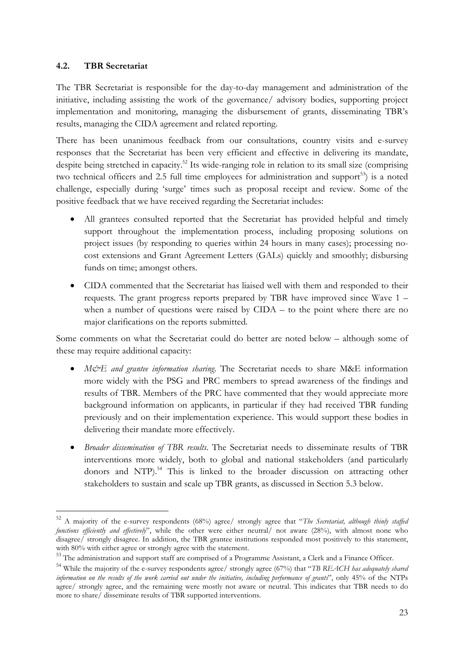### 4.2. TBR Secretariat

l

The TBR Secretariat is responsible for the day-to-day management and administration of the initiative, including assisting the work of the governance/ advisory bodies, supporting project implementation and monitoring, managing the disbursement of grants, disseminating TBR's results, managing the CIDA agreement and related reporting.

There has been unanimous feedback from our consultations, country visits and e-survey responses that the Secretariat has been very efficient and effective in delivering its mandate, despite being stretched in capacity.<sup>52</sup> Its wide-ranging role in relation to its small size (comprising two technical officers and 2.5 full time employees for administration and support<sup>53</sup>) is a noted challenge, especially during 'surge' times such as proposal receipt and review. Some of the positive feedback that we have received regarding the Secretariat includes:

- All grantees consulted reported that the Secretariat has provided helpful and timely support throughout the implementation process, including proposing solutions on project issues (by responding to queries within 24 hours in many cases); processing nocost extensions and Grant Agreement Letters (GALs) quickly and smoothly; disbursing funds on time; amongst others.
- CIDA commented that the Secretariat has liaised well with them and responded to their requests. The grant progress reports prepared by TBR have improved since Wave 1 – when a number of questions were raised by CIDA – to the point where there are no major clarifications on the reports submitted.

Some comments on what the Secretariat could do better are noted below – although some of these may require additional capacity:

- M&E and grantee information sharing. The Secretariat needs to share M&E information more widely with the PSG and PRC members to spread awareness of the findings and results of TBR. Members of the PRC have commented that they would appreciate more background information on applicants, in particular if they had received TBR funding previously and on their implementation experience. This would support these bodies in delivering their mandate more effectively.
- Broader dissemination of TBR results. The Secretariat needs to disseminate results of TBR interventions more widely, both to global and national stakeholders (and particularly donors and NTP).<sup>54</sup> This is linked to the broader discussion on attracting other stakeholders to sustain and scale up TBR grants, as discussed in Section 5.3 below.

 $52$  A majority of the e-survey respondents (68%) agree/ strongly agree that "The Secretariat, although thinly staffed functions efficiently and effectively", while the other were either neutral/ not aware (28%), with almost none who disagree/ strongly disagree. In addition, the TBR grantee institutions responded most positively to this statement, with 80% with either agree or strongly agree with the statement.

<sup>53</sup> The administration and support staff are comprised of a Programme Assistant, a Clerk and a Finance Officer.

<sup>&</sup>lt;sup>54</sup> While the majority of the e-survey respondents agree/ strongly agree (67%) that "TB REACH has adequately shared information on the results of the work carried out under the initiative, including performance of grants", only 45% of the NTPs agree/ strongly agree, and the remaining were mostly not aware or neutral. This indicates that TBR needs to do more to share/ disseminate results of TBR supported interventions.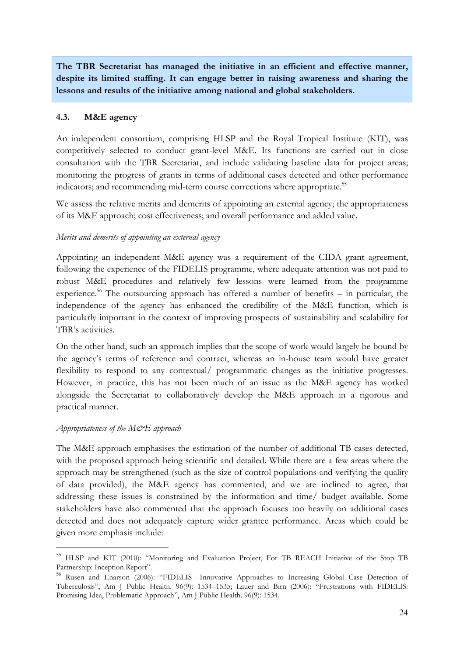The TBR Secretariat has managed the initiative in an efficient and effective manner, despite its limited staffing. It can engage better in raising awareness and sharing the lessons and results of the initiative among national and global stakeholders.

### 4.3. M&E agency

An independent consortium, comprising HLSP and the Royal Tropical Institute (KIT), was competitively selected to conduct grant-level M&E. Its functions are carried out in close consultation with the TBR Secretariat, and include validating baseline data for project areas; monitoring the progress of grants in terms of additional cases detected and other performance indicators; and recommending mid-term course corrections where appropriate.<sup>55</sup>

We assess the relative merits and demerits of appointing an external agency; the appropriateness of its M&E approach; cost effectiveness; and overall performance and added value.

### Merits and demerits of appointing an external agency

Appointing an independent M&E agency was a requirement of the CIDA grant agreement, following the experience of the FIDELIS programme, where adequate attention was not paid to robust M&E procedures and relatively few lessons were learned from the programme experience.<sup>56</sup> The outsourcing approach has offered a number of benefits – in particular, the independence of the agency has enhanced the credibility of the M&E function, which is particularly important in the context of improving prospects of sustainability and scalability for TBR's activities.

On the other hand, such an approach implies that the scope of work would largely be bound by the agency's terms of reference and contract, whereas an in-house team would have greater flexibility to respond to any contextual/ programmatic changes as the initiative progresses. However, in practice, this has not been much of an issue as the M&E agency has worked alongside the Secretariat to collaboratively develop the M&E approach in a rigorous and practical manner.

### Appropriateness of the  $M\ddot{\mathcal{C}}E$  approach

 $\overline{a}$ 

The M&E approach emphasises the estimation of the number of additional TB cases detected, with the proposed approach being scientific and detailed. While there are a few areas where the approach may be strengthened (such as the size of control populations and verifying the quality of data provided), the M&E agency has commented, and we are inclined to agree, that addressing these issues is constrained by the information and time/ budget available. Some stakeholders have also commented that the approach focuses too heavily on additional cases detected and does not adequately capture wider grantee performance. Areas which could be given more emphasis include:

<sup>&</sup>lt;sup>55</sup> HLSP and KIT (2010): "Monitoring and Evaluation Project, For TB REACH Initiative of the Stop TB Partnership: Inception Report".

<sup>56</sup> Rusen and Enarson (2006): "FIDELIS—Innovative Approaches to Increasing Global Case Detection of Tuberculosis", Am J Public Health. 96(9): 1534–1535; Lauer and Birn (2006): "Frustrations with FIDELIS: Promising Idea, Problematic Approach", Am J Public Health. 96(9): 1534.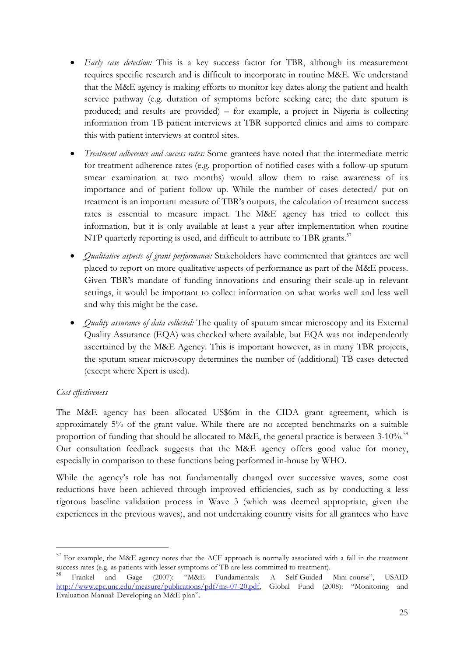- Early case detection: This is a key success factor for TBR, although its measurement requires specific research and is difficult to incorporate in routine M&E. We understand that the M&E agency is making efforts to monitor key dates along the patient and health service pathway (e.g. duration of symptoms before seeking care; the date sputum is produced; and results are provided) – for example, a project in Nigeria is collecting information from TB patient interviews at TBR supported clinics and aims to compare this with patient interviews at control sites.
- Treatment adherence and success rates: Some grantees have noted that the intermediate metric for treatment adherence rates (e.g. proportion of notified cases with a follow-up sputum smear examination at two months) would allow them to raise awareness of its importance and of patient follow up. While the number of cases detected/ put on treatment is an important measure of TBR's outputs, the calculation of treatment success rates is essential to measure impact. The M&E agency has tried to collect this information, but it is only available at least a year after implementation when routine NTP quarterly reporting is used, and difficult to attribute to TBR grants.<sup>57</sup>
- *Qualitative aspects of grant performance*: Stakeholders have commented that grantees are well placed to report on more qualitative aspects of performance as part of the M&E process. Given TBR's mandate of funding innovations and ensuring their scale-up in relevant settings, it would be important to collect information on what works well and less well and why this might be the case.
- *Quality assurance of data collected*: The quality of sputum smear microscopy and its External Quality Assurance (EQA) was checked where available, but EQA was not independently ascertained by the M&E Agency. This is important however, as in many TBR projects, the sputum smear microscopy determines the number of (additional) TB cases detected (except where Xpert is used).

## Cost effectiveness

 $\overline{a}$ 

The M&E agency has been allocated US\$6m in the CIDA grant agreement, which is approximately 5% of the grant value. While there are no accepted benchmarks on a suitable proportion of funding that should be allocated to M&E, the general practice is between  $3\text{-}10\%$ .<sup>58</sup> Our consultation feedback suggests that the M&E agency offers good value for money, especially in comparison to these functions being performed in-house by WHO.

While the agency's role has not fundamentally changed over successive waves, some cost reductions have been achieved through improved efficiencies, such as by conducting a less rigorous baseline validation process in Wave 3 (which was deemed appropriate, given the experiences in the previous waves), and not undertaking country visits for all grantees who have

<sup>&</sup>lt;sup>57</sup> For example, the M&E agency notes that the ACF approach is normally associated with a fall in the treatment success rates (e.g. as patients with lesser symptoms of TB are less committed to treatment).

<sup>58</sup> Frankel and Gage (2007): "M&E Fundamentals: A Self-Guided Mini-course", USAID http://www.cpc.unc.edu/measure/publications/pdf/ms-07-20.pdf, Global Fund (2008): "Monitoring and Evaluation Manual: Developing an M&E plan".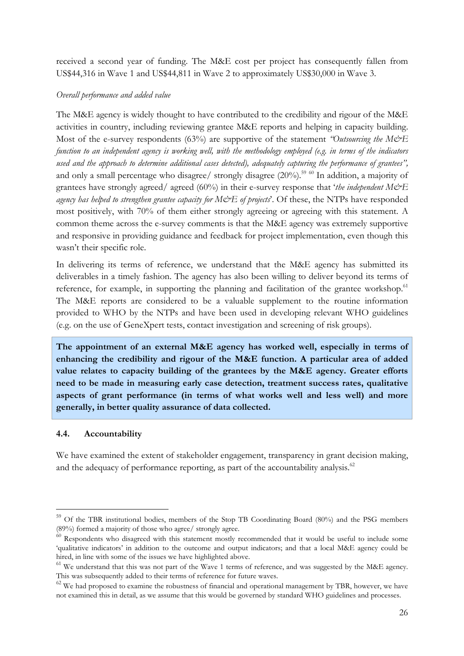received a second year of funding. The M&E cost per project has consequently fallen from US\$44,316 in Wave 1 and US\$44,811 in Wave 2 to approximately US\$30,000 in Wave 3.

### Overall performance and added value

The M&E agency is widely thought to have contributed to the credibility and rigour of the M&E activities in country, including reviewing grantee M&E reports and helping in capacity building. Most of the e-survey respondents (63%) are supportive of the statement "Outsourcing the M&E function to an independent agency is working well, with the methodology employed (e.g. in terms of the indicators used and the approach to determine additional cases detected), adequately capturing the performance of grantees", and only a small percentage who disagree/ strongly disagree  $(20\%)$ <sup>59 60</sup> In addition, a majority of grantees have strongly agreed/ agreed (60%) in their e-survey response that 'the independent  $M\ddot{\mathcal{O}}E$ agency has helped to strengthen grantee capacity for  $M\ddot{\mathcal{O}}E$  of projects'. Of these, the NTPs have responded most positively, with 70% of them either strongly agreeing or agreeing with this statement. A common theme across the e-survey comments is that the M&E agency was extremely supportive and responsive in providing guidance and feedback for project implementation, even though this wasn't their specific role.

In delivering its terms of reference, we understand that the M&E agency has submitted its deliverables in a timely fashion. The agency has also been willing to deliver beyond its terms of reference, for example, in supporting the planning and facilitation of the grantee workshop. $61$ The M&E reports are considered to be a valuable supplement to the routine information provided to WHO by the NTPs and have been used in developing relevant WHO guidelines (e.g. on the use of GeneXpert tests, contact investigation and screening of risk groups).

The appointment of an external M&E agency has worked well, especially in terms of enhancing the credibility and rigour of the M&E function. A particular area of added value relates to capacity building of the grantees by the M&E agency. Greater efforts need to be made in measuring early case detection, treatment success rates, qualitative aspects of grant performance (in terms of what works well and less well) and more generally, in better quality assurance of data collected.

## 4.4. Accountability

l

We have examined the extent of stakeholder engagement, transparency in grant decision making, and the adequacy of performance reporting, as part of the accountability analysis. $^{62}$ 

<sup>&</sup>lt;sup>59</sup> Of the TBR institutional bodies, members of the Stop TB Coordinating Board (80%) and the PSG members (89%) formed a majority of those who agree/ strongly agree.

<sup>&</sup>lt;sup>60</sup> Respondents who disagreed with this statement mostly recommended that it would be useful to include some 'qualitative indicators' in addition to the outcome and output indicators; and that a local M&E agency could be hired, in line with some of the issues we have highlighted above.

<sup>&</sup>lt;sup>61</sup> We understand that this was not part of the Wave 1 terms of reference, and was suggested by the M&E agency. This was subsequently added to their terms of reference for future waves.

<sup>&</sup>lt;sup>62</sup> We had proposed to examine the robustness of financial and operational management by TBR, however, we have not examined this in detail, as we assume that this would be governed by standard WHO guidelines and processes.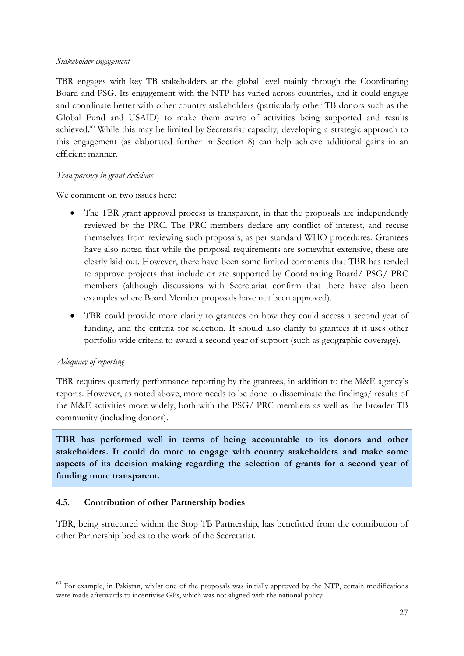### Stakeholder engagement

TBR engages with key TB stakeholders at the global level mainly through the Coordinating Board and PSG. Its engagement with the NTP has varied across countries, and it could engage and coordinate better with other country stakeholders (particularly other TB donors such as the Global Fund and USAID) to make them aware of activities being supported and results achieved.<sup>63</sup> While this may be limited by Secretariat capacity, developing a strategic approach to this engagement (as elaborated further in Section 8) can help achieve additional gains in an efficient manner.

### Transparency in grant decisions

We comment on two issues here:

- The TBR grant approval process is transparent, in that the proposals are independently reviewed by the PRC. The PRC members declare any conflict of interest, and recuse themselves from reviewing such proposals, as per standard WHO procedures. Grantees have also noted that while the proposal requirements are somewhat extensive, these are clearly laid out. However, there have been some limited comments that TBR has tended to approve projects that include or are supported by Coordinating Board/ PSG/ PRC members (although discussions with Secretariat confirm that there have also been examples where Board Member proposals have not been approved).
- TBR could provide more clarity to grantees on how they could access a second year of funding, and the criteria for selection. It should also clarify to grantees if it uses other portfolio wide criteria to award a second year of support (such as geographic coverage).

## Adequacy of reporting

 $\overline{a}$ 

TBR requires quarterly performance reporting by the grantees, in addition to the M&E agency's reports. However, as noted above, more needs to be done to disseminate the findings/ results of the M&E activities more widely, both with the PSG/ PRC members as well as the broader TB community (including donors).

TBR has performed well in terms of being accountable to its donors and other stakeholders. It could do more to engage with country stakeholders and make some aspects of its decision making regarding the selection of grants for a second year of funding more transparent.

## 4.5. Contribution of other Partnership bodies

TBR, being structured within the Stop TB Partnership, has benefitted from the contribution of other Partnership bodies to the work of the Secretariat.

<sup>&</sup>lt;sup>63</sup> For example, in Pakistan, whilst one of the proposals was initially approved by the NTP, certain modifications were made afterwards to incentivise GPs, which was not aligned with the national policy.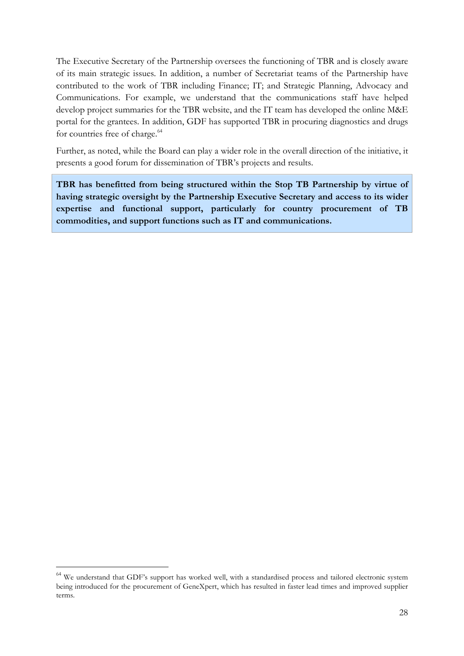The Executive Secretary of the Partnership oversees the functioning of TBR and is closely aware of its main strategic issues. In addition, a number of Secretariat teams of the Partnership have contributed to the work of TBR including Finance; IT; and Strategic Planning, Advocacy and Communications. For example, we understand that the communications staff have helped develop project summaries for the TBR website, and the IT team has developed the online M&E portal for the grantees. In addition, GDF has supported TBR in procuring diagnostics and drugs for countries free of charge.<sup>64</sup>

Further, as noted, while the Board can play a wider role in the overall direction of the initiative, it presents a good forum for dissemination of TBR's projects and results.

TBR has benefitted from being structured within the Stop TB Partnership by virtue of having strategic oversight by the Partnership Executive Secretary and access to its wider expertise and functional support, particularly for country procurement of TB commodities, and support functions such as IT and communications.

 $\overline{a}$ 

<sup>&</sup>lt;sup>64</sup> We understand that GDF's support has worked well, with a standardised process and tailored electronic system being introduced for the procurement of GeneXpert, which has resulted in faster lead times and improved supplier terms.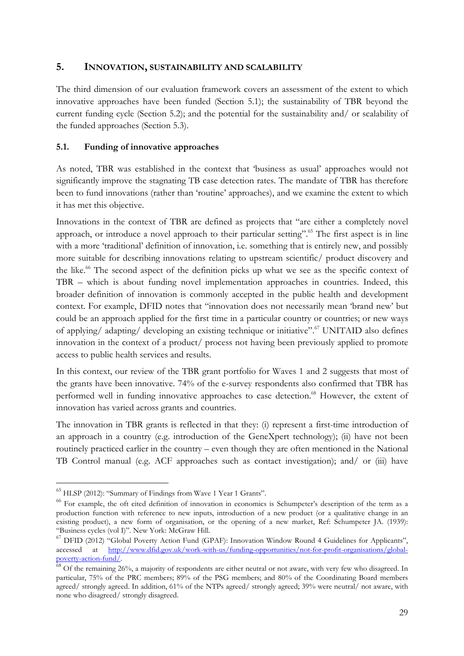## 5. INNOVATION, SUSTAINABILITY AND SCALABILITY

The third dimension of our evaluation framework covers an assessment of the extent to which innovative approaches have been funded (Section 5.1); the sustainability of TBR beyond the current funding cycle (Section 5.2); and the potential for the sustainability and/ or scalability of the funded approaches (Section 5.3).

### 5.1. Funding of innovative approaches

As noted, TBR was established in the context that 'business as usual' approaches would not significantly improve the stagnating TB case detection rates. The mandate of TBR has therefore been to fund innovations (rather than 'routine' approaches), and we examine the extent to which it has met this objective.

Innovations in the context of TBR are defined as projects that "are either a completely novel approach, or introduce a novel approach to their particular setting".<sup>65</sup> The first aspect is in line with a more 'traditional' definition of innovation, i.e. something that is entirely new, and possibly more suitable for describing innovations relating to upstream scientific/ product discovery and the like.<sup>66</sup> The second aspect of the definition picks up what we see as the specific context of TBR – which is about funding novel implementation approaches in countries. Indeed, this broader definition of innovation is commonly accepted in the public health and development context. For example, DFID notes that "innovation does not necessarily mean 'brand new' but could be an approach applied for the first time in a particular country or countries; or new ways of applying/ adapting/ developing an existing technique or initiative".<sup>67</sup> UNITAID also defines innovation in the context of a product/ process not having been previously applied to promote access to public health services and results.

In this context, our review of the TBR grant portfolio for Waves 1 and 2 suggests that most of the grants have been innovative. 74% of the e-survey respondents also confirmed that TBR has performed well in funding innovative approaches to case detection.<sup>68</sup> However, the extent of innovation has varied across grants and countries.

The innovation in TBR grants is reflected in that they: (i) represent a first-time introduction of an approach in a country (e.g. introduction of the GeneXpert technology); (ii) have not been routinely practiced earlier in the country – even though they are often mentioned in the National TB Control manual (e.g. ACF approaches such as contact investigation); and/ or (iii) have

<sup>&</sup>lt;sup>65</sup> HLSP (2012): "Summary of Findings from Wave 1 Year 1 Grants".

<sup>&</sup>lt;sup>66</sup> For example, the oft cited definition of innovation in economics is Schumpeter's description of the term as a production function with reference to new inputs, introduction of a new product (or a qualitative change in an existing product), a new form of organisation, or the opening of a new market, Ref: Schumpeter JA. (1939): "Business cycles (vol I)". New York: McGraw Hill.

<sup>&</sup>lt;sup>67</sup> DFID (2012) "Global Poverty Action Fund (GPAF): Innovation Window Round 4 Guidelines for Applicants", accessed at  $\frac{http://www.dfd.gov.uk/work-with-us/funding-opportunities/not-for-profit-organisations/elobal$ at http://www.dfid.gov.uk/work-with-us/funding-opportunities/not-for-profit-organisations/globalpoverty-action-fund/.

 $\frac{68}{68}$  Of the remaining 26%, a majority of respondents are either neutral or not aware, with very few who disagreed. In particular, 75% of the PRC members; 89% of the PSG members; and 80% of the Coordinating Board members agreed/ strongly agreed. In addition, 61% of the NTPs agreed/ strongly agreed; 39% were neutral/ not aware, with none who disagreed/ strongly disagreed.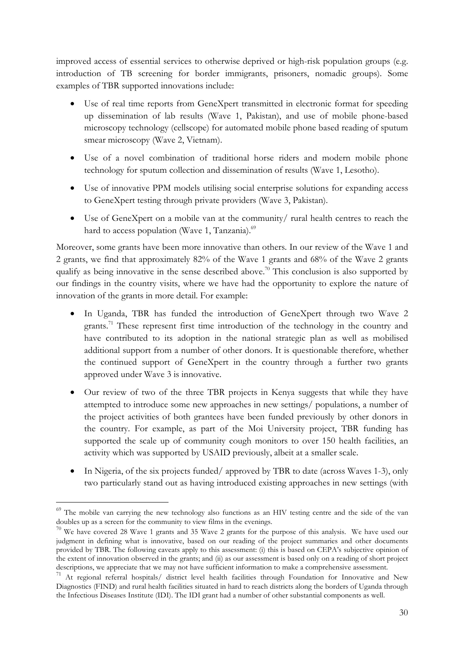improved access of essential services to otherwise deprived or high-risk population groups (e.g. introduction of TB screening for border immigrants, prisoners, nomadic groups). Some examples of TBR supported innovations include:

- Use of real time reports from GeneXpert transmitted in electronic format for speeding up dissemination of lab results (Wave 1, Pakistan), and use of mobile phone-based microscopy technology (cellscope) for automated mobile phone based reading of sputum smear microscopy (Wave 2, Vietnam).
- Use of a novel combination of traditional horse riders and modern mobile phone technology for sputum collection and dissemination of results (Wave 1, Lesotho).
- Use of innovative PPM models utilising social enterprise solutions for expanding access to GeneXpert testing through private providers (Wave 3, Pakistan).
- Use of GeneXpert on a mobile van at the community/ rural health centres to reach the hard to access population (Wave 1, Tanzania).<sup>69</sup>

Moreover, some grants have been more innovative than others. In our review of the Wave 1 and 2 grants, we find that approximately 82% of the Wave 1 grants and 68% of the Wave 2 grants qualify as being innovative in the sense described above.<sup>70</sup> This conclusion is also supported by our findings in the country visits, where we have had the opportunity to explore the nature of innovation of the grants in more detail. For example:

- In Uganda, TBR has funded the introduction of GeneXpert through two Wave 2 grants.<sup>71</sup> These represent first time introduction of the technology in the country and have contributed to its adoption in the national strategic plan as well as mobilised additional support from a number of other donors. It is questionable therefore, whether the continued support of GeneXpert in the country through a further two grants approved under Wave 3 is innovative.
- Our review of two of the three TBR projects in Kenya suggests that while they have attempted to introduce some new approaches in new settings/ populations, a number of the project activities of both grantees have been funded previously by other donors in the country. For example, as part of the Moi University project, TBR funding has supported the scale up of community cough monitors to over 150 health facilities, an activity which was supported by USAID previously, albeit at a smaller scale.
- In Nigeria, of the six projects funded/approved by TBR to date (across Waves 1-3), only two particularly stand out as having introduced existing approaches in new settings (with

<sup>&</sup>lt;sup>69</sup> The mobile van carrying the new technology also functions as an HIV testing centre and the side of the van doubles up as a screen for the community to view films in the evenings.

<sup>&</sup>lt;sup>70</sup> We have covered 28 Wave 1 grants and 35 Wave 2 grants for the purpose of this analysis. We have used our judgment in defining what is innovative, based on our reading of the project summaries and other documents provided by TBR. The following caveats apply to this assessment: (i) this is based on CEPA's subjective opinion of the extent of innovation observed in the grants; and (ii) as our assessment is based only on a reading of short project descriptions, we appreciate that we may not have sufficient information to make a comprehensive assessment.

<sup>71</sup> At regional referral hospitals/ district level health facilities through Foundation for Innovative and New Diagnostics (FIND) and rural health facilities situated in hard to reach districts along the borders of Uganda through the Infectious Diseases Institute (IDI). The IDI grant had a number of other substantial components as well.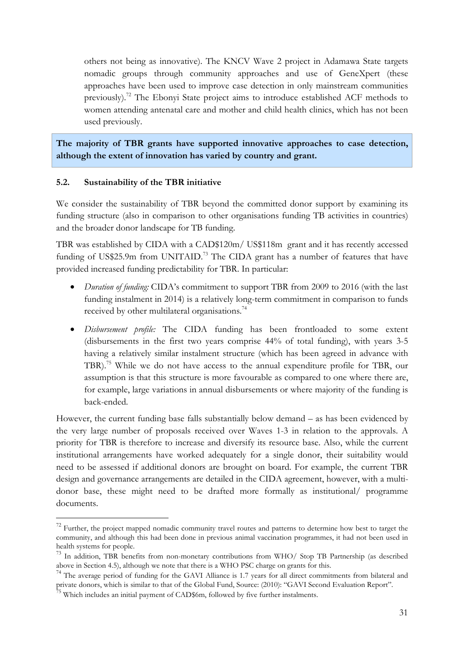others not being as innovative). The KNCV Wave 2 project in Adamawa State targets nomadic groups through community approaches and use of GeneXpert (these approaches have been used to improve case detection in only mainstream communities previously).<sup>72</sup> The Ebonyi State project aims to introduce established ACF methods to women attending antenatal care and mother and child health clinics, which has not been used previously.

The majority of TBR grants have supported innovative approaches to case detection, although the extent of innovation has varied by country and grant.

## 5.2. Sustainability of the TBR initiative

We consider the sustainability of TBR beyond the committed donor support by examining its funding structure (also in comparison to other organisations funding TB activities in countries) and the broader donor landscape for TB funding.

TBR was established by CIDA with a CAD\$120m/ US\$118m grant and it has recently accessed funding of US\$25.9m from UNITAID.<sup>73</sup> The CIDA grant has a number of features that have provided increased funding predictability for TBR. In particular:

- Duration of funding: CIDA's commitment to support TBR from 2009 to 2016 (with the last funding instalment in 2014) is a relatively long-term commitment in comparison to funds received by other multilateral organisations.<sup>74</sup>
- Disbursement profile: The CIDA funding has been frontloaded to some extent (disbursements in the first two years comprise 44% of total funding), with years 3-5 having a relatively similar instalment structure (which has been agreed in advance with TBR).<sup>75</sup> While we do not have access to the annual expenditure profile for TBR, our assumption is that this structure is more favourable as compared to one where there are, for example, large variations in annual disbursements or where majority of the funding is back-ended.

However, the current funding base falls substantially below demand – as has been evidenced by the very large number of proposals received over Waves 1-3 in relation to the approvals. A priority for TBR is therefore to increase and diversify its resource base. Also, while the current institutional arrangements have worked adequately for a single donor, their suitability would need to be assessed if additional donors are brought on board. For example, the current TBR design and governance arrangements are detailed in the CIDA agreement, however, with a multidonor base, these might need to be drafted more formally as institutional/ programme documents.

<sup>&</sup>lt;sup>72</sup> Further, the project mapped nomadic community travel routes and patterns to determine how best to target the community, and although this had been done in previous animal vaccination programmes, it had not been used in health systems for people.

<sup>&</sup>lt;sup>73</sup> In addition, TBR benefits from non-monetary contributions from WHO/ Stop TB Partnership (as described above in Section 4.5), although we note that there is a WHO PSC charge on grants for this.

<sup>&</sup>lt;sup>74</sup> The average period of funding for the GAVI Alliance is 1.7 years for all direct commitments from bilateral and private donors, which is similar to that of the Global Fund, Source: (2010): "GAVI Second Evaluation Report".

 $75$  Which includes an initial payment of CAD\$6m, followed by five further instalments.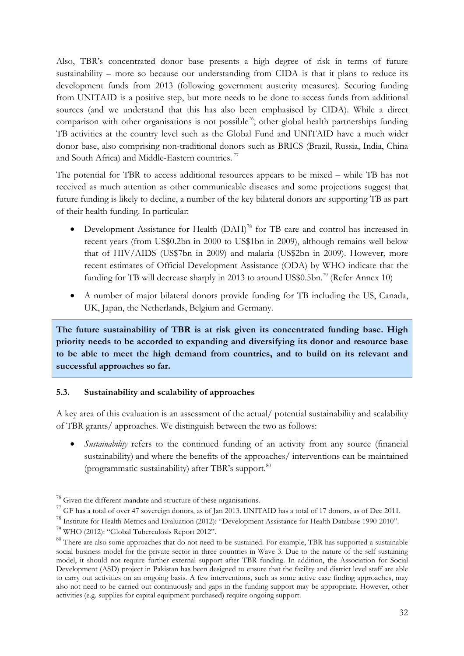Also, TBR's concentrated donor base presents a high degree of risk in terms of future sustainability – more so because our understanding from CIDA is that it plans to reduce its development funds from 2013 (following government austerity measures). Securing funding from UNITAID is a positive step, but more needs to be done to access funds from additional sources (and we understand that this has also been emphasised by CIDA). While a direct comparison with other organisations is not possible<sup>76</sup>, other global health partnerships funding TB activities at the country level such as the Global Fund and UNITAID have a much wider donor base, also comprising non-traditional donors such as BRICS (Brazil, Russia, India, China and South Africa) and Middle-Eastern countries.<sup>77</sup>

The potential for TBR to access additional resources appears to be mixed – while TB has not received as much attention as other communicable diseases and some projections suggest that future funding is likely to decline, a number of the key bilateral donors are supporting TB as part of their health funding. In particular:

- Development Assistance for Health (DAH)<sup>78</sup> for TB care and control has increased in recent years (from US\$0.2bn in 2000 to US\$1bn in 2009), although remains well below that of HIV/AIDS (US\$7bn in 2009) and malaria (US\$2bn in 2009). However, more recent estimates of Official Development Assistance (ODA) by WHO indicate that the funding for TB will decrease sharply in 2013 to around US\$0.5bn.<sup>79</sup> (Refer Annex 10)
- A number of major bilateral donors provide funding for TB including the US, Canada, UK, Japan, the Netherlands, Belgium and Germany.

The future sustainability of TBR is at risk given its concentrated funding base. High priority needs to be accorded to expanding and diversifying its donor and resource base to be able to meet the high demand from countries, and to build on its relevant and successful approaches so far.

## 5.3. Sustainability and scalability of approaches

A key area of this evaluation is an assessment of the actual/ potential sustainability and scalability of TBR grants/ approaches. We distinguish between the two as follows:

• Sustainability refers to the continued funding of an activity from any source (financial sustainability) and where the benefits of the approaches/ interventions can be maintained (programmatic sustainability) after TBR's support.<sup>80</sup>

<sup>76</sup> Given the different mandate and structure of these organisations.

<sup>&</sup>lt;sup>77</sup> GF has a total of over 47 sovereign donors, as of Jan 2013. UNITAID has a total of 17 donors, as of Dec 2011.

<sup>78</sup> Institute for Health Metrics and Evaluation (2012): "Development Assistance for Health Database 1990-2010".

<sup>79</sup> WHO (2012): "Global Tuberculosis Report 2012".

<sup>&</sup>lt;sup>80</sup> There are also some approaches that do not need to be sustained. For example, TBR has supported a sustainable social business model for the private sector in three countries in Wave 3. Due to the nature of the self sustaining model, it should not require further external support after TBR funding. In addition, the Association for Social Development (ASD) project in Pakistan has been designed to ensure that the facility and district level staff are able to carry out activities on an ongoing basis. A few interventions, such as some active case finding approaches, may also not need to be carried out continuously and gaps in the funding support may be appropriate. However, other activities (e.g. supplies for capital equipment purchased) require ongoing support.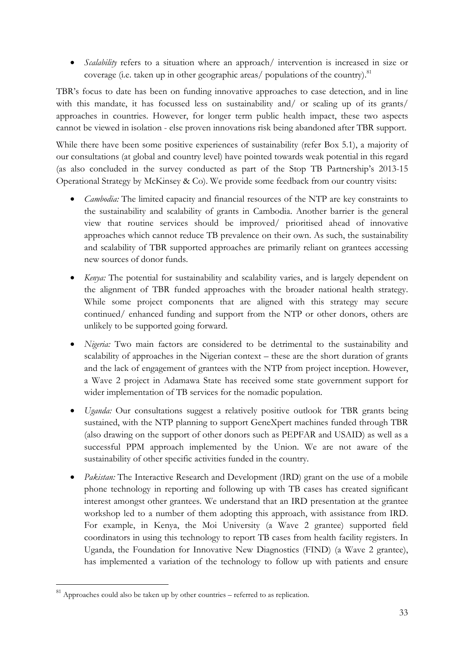• Scalability refers to a situation where an approach/ intervention is increased in size or coverage (i.e. taken up in other geographic areas/ populations of the country). $81$ 

TBR's focus to date has been on funding innovative approaches to case detection, and in line with this mandate, it has focussed less on sustainability and/ or scaling up of its grants/ approaches in countries. However, for longer term public health impact, these two aspects cannot be viewed in isolation - else proven innovations risk being abandoned after TBR support.

While there have been some positive experiences of sustainability (refer Box 5.1), a majority of our consultations (at global and country level) have pointed towards weak potential in this regard (as also concluded in the survey conducted as part of the Stop TB Partnership's 2013-15 Operational Strategy by McKinsey & Co). We provide some feedback from our country visits:

- Cambodia: The limited capacity and financial resources of the NTP are key constraints to the sustainability and scalability of grants in Cambodia. Another barrier is the general view that routine services should be improved/ prioritised ahead of innovative approaches which cannot reduce TB prevalence on their own. As such, the sustainability and scalability of TBR supported approaches are primarily reliant on grantees accessing new sources of donor funds.
- Kenya: The potential for sustainability and scalability varies, and is largely dependent on the alignment of TBR funded approaches with the broader national health strategy. While some project components that are aligned with this strategy may secure continued/ enhanced funding and support from the NTP or other donors, others are unlikely to be supported going forward.
- Nigeria: Two main factors are considered to be detrimental to the sustainability and scalability of approaches in the Nigerian context – these are the short duration of grants and the lack of engagement of grantees with the NTP from project inception. However, a Wave 2 project in Adamawa State has received some state government support for wider implementation of TB services for the nomadic population.
- Uganda: Our consultations suggest a relatively positive outlook for TBR grants being sustained, with the NTP planning to support GeneXpert machines funded through TBR (also drawing on the support of other donors such as PEPFAR and USAID) as well as a successful PPM approach implemented by the Union. We are not aware of the sustainability of other specific activities funded in the country.
- *Pakistan:* The Interactive Research and Development (IRD) grant on the use of a mobile phone technology in reporting and following up with TB cases has created significant interest amongst other grantees. We understand that an IRD presentation at the grantee workshop led to a number of them adopting this approach, with assistance from IRD. For example, in Kenya, the Moi University (a Wave 2 grantee) supported field coordinators in using this technology to report TB cases from health facility registers. In Uganda, the Foundation for Innovative New Diagnostics (FIND) (a Wave 2 grantee), has implemented a variation of the technology to follow up with patients and ensure

<sup>81</sup> Approaches could also be taken up by other countries – referred to as replication.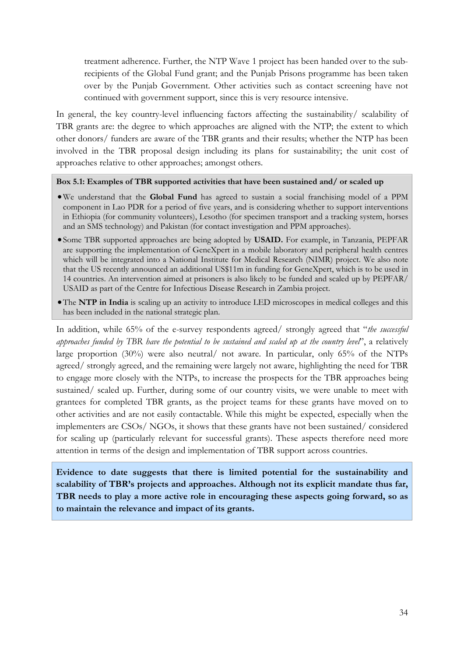treatment adherence. Further, the NTP Wave 1 project has been handed over to the subrecipients of the Global Fund grant; and the Punjab Prisons programme has been taken over by the Punjab Government. Other activities such as contact screening have not continued with government support, since this is very resource intensive.

In general, the key country-level influencing factors affecting the sustainability/ scalability of TBR grants are: the degree to which approaches are aligned with the NTP; the extent to which other donors/ funders are aware of the TBR grants and their results; whether the NTP has been involved in the TBR proposal design including its plans for sustainability; the unit cost of approaches relative to other approaches; amongst others.

Box 5.1: Examples of TBR supported activities that have been sustained and/ or scaled up

- •We understand that the Global Fund has agreed to sustain a social franchising model of a PPM component in Lao PDR for a period of five years, and is considering whether to support interventions in Ethiopia (for community volunteers), Lesotho (for specimen transport and a tracking system, horses and an SMS technology) and Pakistan (for contact investigation and PPM approaches).
- Some TBR supported approaches are being adopted by USAID. For example, in Tanzania, PEPFAR are supporting the implementation of GeneXpert in a mobile laboratory and peripheral health centres which will be integrated into a National Institute for Medical Research (NIMR) project. We also note that the US recently announced an additional US\$11m in funding for GeneXpert, which is to be used in 14 countries. An intervention aimed at prisoners is also likely to be funded and scaled up by PEPFAR/ USAID as part of the Centre for Infectious Disease Research in Zambia project.
- •The NTP in India is scaling up an activity to introduce LED microscopes in medical colleges and this has been included in the national strategic plan.

In addition, while 65% of the e-survey respondents agreed/ strongly agreed that "the successful approaches funded by TBR have the potential to be sustained and scaled up at the country level", a relatively large proportion (30%) were also neutral/ not aware. In particular, only 65% of the NTPs agreed/ strongly agreed, and the remaining were largely not aware, highlighting the need for TBR to engage more closely with the NTPs, to increase the prospects for the TBR approaches being sustained/ scaled up. Further, during some of our country visits, we were unable to meet with grantees for completed TBR grants, as the project teams for these grants have moved on to other activities and are not easily contactable. While this might be expected, especially when the implementers are CSOs/ NGOs, it shows that these grants have not been sustained/ considered for scaling up (particularly relevant for successful grants). These aspects therefore need more attention in terms of the design and implementation of TBR support across countries.

Evidence to date suggests that there is limited potential for the sustainability and scalability of TBR's projects and approaches. Although not its explicit mandate thus far, TBR needs to play a more active role in encouraging these aspects going forward, so as to maintain the relevance and impact of its grants.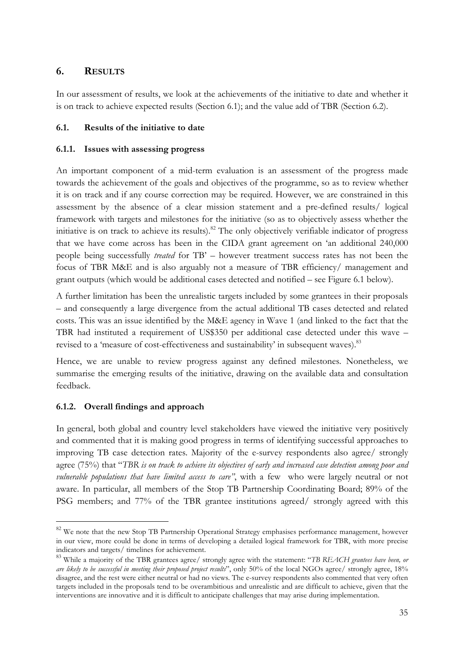# 6. RESULTS

In our assessment of results, we look at the achievements of the initiative to date and whether it is on track to achieve expected results (Section 6.1); and the value add of TBR (Section 6.2).

# 6.1. Results of the initiative to date

# 6.1.1. Issues with assessing progress

An important component of a mid-term evaluation is an assessment of the progress made towards the achievement of the goals and objectives of the programme, so as to review whether it is on track and if any course correction may be required. However, we are constrained in this assessment by the absence of a clear mission statement and a pre-defined results/ logical framework with targets and milestones for the initiative (so as to objectively assess whether the initiative is on track to achieve its results).<sup>82</sup> The only objectively verifiable indicator of progress that we have come across has been in the CIDA grant agreement on 'an additional 240,000 people being successfully treated for TB' – however treatment success rates has not been the focus of TBR M&E and is also arguably not a measure of TBR efficiency/ management and grant outputs (which would be additional cases detected and notified – see Figure 6.1 below).

A further limitation has been the unrealistic targets included by some grantees in their proposals – and consequently a large divergence from the actual additional TB cases detected and related costs. This was an issue identified by the M&E agency in Wave 1 (and linked to the fact that the TBR had instituted a requirement of US\$350 per additional case detected under this wave – revised to a 'measure of cost-effectiveness and sustainability' in subsequent waves).<sup>83</sup>

Hence, we are unable to review progress against any defined milestones. Nonetheless, we summarise the emerging results of the initiative, drawing on the available data and consultation feedback.

# 6.1.2. Overall findings and approach

 $\overline{a}$ 

In general, both global and country level stakeholders have viewed the initiative very positively and commented that it is making good progress in terms of identifying successful approaches to improving TB case detection rates. Majority of the e-survey respondents also agree/ strongly agree (75%) that "TBR is on track to achieve its objectives of early and increased case detection among poor and vulnerable populations that have limited access to care", with a few who were largely neutral or not aware. In particular, all members of the Stop TB Partnership Coordinating Board; 89% of the PSG members; and 77% of the TBR grantee institutions agreed/ strongly agreed with this

<sup>&</sup>lt;sup>82</sup> We note that the new Stop TB Partnership Operational Strategy emphasises performance management, however in our view, more could be done in terms of developing a detailed logical framework for TBR, with more precise indicators and targets/ timelines for achievement.

<sup>&</sup>lt;sup>83</sup> While a majority of the TBR grantees agree/ strongly agree with the statement: "TB REACH grantees have been, or are likely to be successful in meeting their proposed project results", only 50% of the local NGOs agree/ strongly agree, 18% disagree, and the rest were either neutral or had no views. The e-survey respondents also commented that very often targets included in the proposals tend to be overambitious and unrealistic and are difficult to achieve, given that the interventions are innovative and it is difficult to anticipate challenges that may arise during implementation.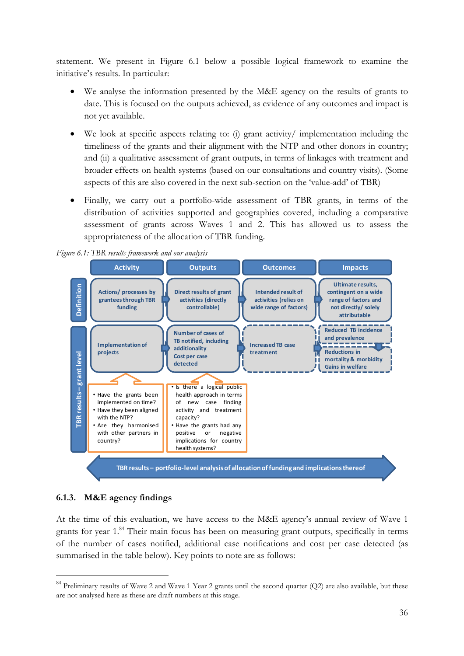statement. We present in Figure 6.1 below a possible logical framework to examine the initiative's results. In particular:

- We analyse the information presented by the M&E agency on the results of grants to date. This is focused on the outputs achieved, as evidence of any outcomes and impact is not yet available.
- We look at specific aspects relating to: (i) grant activity/ implementation including the timeliness of the grants and their alignment with the NTP and other donors in country; and (ii) a qualitative assessment of grant outputs, in terms of linkages with treatment and broader effects on health systems (based on our consultations and country visits). (Some aspects of this are also covered in the next sub-section on the 'value-add' of TBR)
- Finally, we carry out a portfolio-wide assessment of TBR grants, in terms of the distribution of activities supported and geographies covered, including a comparative assessment of grants across Waves 1 and 2. This has allowed us to assess the appropriateness of the allocation of TBR funding.



Figure 6.1: TBR results framework and our analysis

## 6.1.3. M&E agency findings

 $\overline{a}$ 

At the time of this evaluation, we have access to the M&E agency's annual review of Wave 1 grants for year 1.<sup>84</sup> Their main focus has been on measuring grant outputs, specifically in terms of the number of cases notified, additional case notifications and cost per case detected (as summarised in the table below). Key points to note are as follows:

 $84$  Preliminary results of Wave 2 and Wave 1 Year 2 grants until the second quarter (Q2) are also available, but these are not analysed here as these are draft numbers at this stage.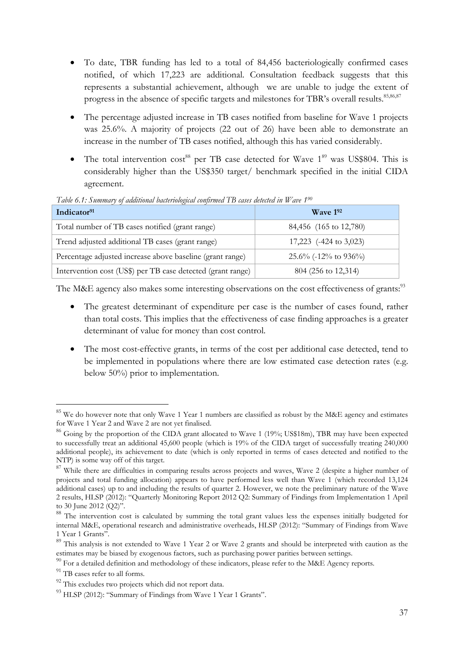- To date, TBR funding has led to a total of 84,456 bacteriologically confirmed cases notified, of which 17,223 are additional. Consultation feedback suggests that this represents a substantial achievement, although we are unable to judge the extent of progress in the absence of specific targets and milestones for TBR's overall results.<sup>85,86,87</sup>
- The percentage adjusted increase in TB cases notified from baseline for Wave 1 projects was 25.6%. A majority of projects (22 out of 26) have been able to demonstrate an increase in the number of TB cases notified, although this has varied considerably.
- The total intervention  $cost^{88}$  per TB case detected for Wave  $1^{89}$  was US\$804. This is considerably higher than the US\$350 target/ benchmark specified in the initial CIDA agreement.

| Indicator <sup>91</sup>                                     | $W$ ave 192               |
|-------------------------------------------------------------|---------------------------|
| Total number of TB cases notified (grant range)             | 84,456 (165 to 12,780)    |
| Trend adjusted additional TB cases (grant range)            | 17,223 (-424 to 3,023)    |
| Percentage adjusted increase above baseline (grant range)   | $25.6\%$ (-12\% to 936\%) |
| Intervention cost (US\$) per TB case detected (grant range) | 804 (256 to 12,314)       |

Table 6.1: Summary of additional bacteriological confirmed TB cases detected in Wave 1<sup>90</sup>

The M&E agency also makes some interesting observations on the cost effectiveness of grants:<sup>93</sup>

- The greatest determinant of expenditure per case is the number of cases found, rather than total costs. This implies that the effectiveness of case finding approaches is a greater determinant of value for money than cost control.
- The most cost-effective grants, in terms of the cost per additional case detected, tend to be implemented in populations where there are low estimated case detection rates (e.g. below 50%) prior to implementation.

 $\overline{a}$ 

 $85$  We do however note that only Wave 1 Year 1 numbers are classified as robust by the M&E agency and estimates for Wave 1 Year 2 and Wave 2 are not yet finalised.

<sup>&</sup>lt;sup>86</sup> Going by the proportion of the CIDA grant allocated to Wave 1 (19%; US\$18m), TBR may have been expected to successfully treat an additional 45,600 people (which is 19% of the CIDA target of successfully treating 240,000 additional people), its achievement to date (which is only reported in terms of cases detected and notified to the NTP) is some way off of this target.

<sup>&</sup>lt;sup>87</sup> While there are difficulties in comparing results across projects and waves, Wave 2 (despite a higher number of projects and total funding allocation) appears to have performed less well than Wave 1 (which recorded 13,124 additional cases) up to and including the results of quarter 2. However, we note the preliminary nature of the Wave 2 results, HLSP (2012): "Quarterly Monitoring Report 2012 Q2: Summary of Findings from Implementation 1 April to 30 June 2012 (Q2)".

<sup>&</sup>lt;sup>88</sup> The intervention cost is calculated by summing the total grant values less the expenses initially budgeted for internal M&E, operational research and administrative overheads, HLSP (2012): "Summary of Findings from Wave 1 Year 1 Grants".

<sup>&</sup>lt;sup>89</sup> This analysis is not extended to Wave 1 Year 2 or Wave 2 grants and should be interpreted with caution as the estimates may be biased by exogenous factors, such as purchasing power parities between settings.

 $90$  For a detailed definition and methodology of these indicators, please refer to the M&E Agency reports.

<sup>&</sup>lt;sup>91</sup> TB cases refer to all forms.

<sup>&</sup>lt;sup>92</sup> This excludes two projects which did not report data.

<sup>&</sup>lt;sup>93</sup> HLSP (2012): "Summary of Findings from Wave 1 Year 1 Grants".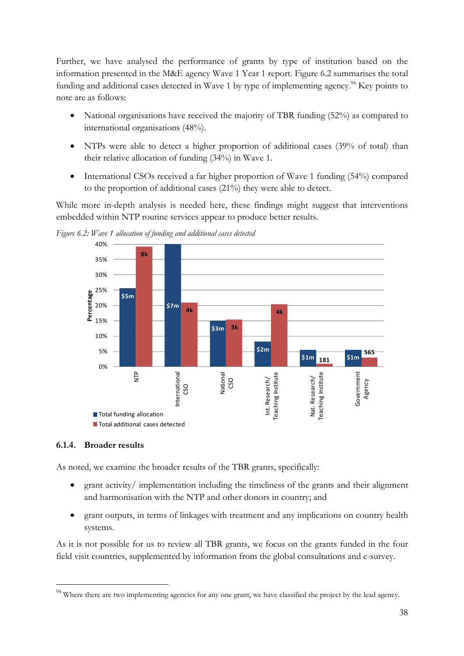Further, we have analysed the performance of grants by type of institution based on the information presented in the M&E agency Wave 1 Year 1 report. Figure 6.2 summarises the total funding and additional cases detected in Wave 1 by type of implementing agency.<sup>94</sup> Key points to note are as follows:

- National organisations have received the majority of TBR funding (52%) as compared to international organisations (48%).
- NTPs were able to detect a higher proportion of additional cases (39% of total) than their relative allocation of funding (34%) in Wave 1.
- International CSOs received a far higher proportion of Wave 1 funding (54%) compared to the proportion of additional cases (21%) they were able to detect.

While more in-depth analysis is needed here, these findings might suggest that interventions embedded within NTP routine services appear to produce better results.



Figure 6.2: Wave 1 allocation of funding and additional cases detected

### 6.1.4. Broader results

 $\overline{a}$ 

As noted, we examine the broader results of the TBR grants, specifically:

- grant activity/ implementation including the timeliness of the grants and their alignment and harmonisation with the NTP and other donors in country; and
- grant outputs, in terms of linkages with treatment and any implications on country health systems.

As it is not possible for us to review all TBR grants, we focus on the grants funded in the four field visit countries, supplemented by information from the global consultations and e-survey.

<sup>&</sup>lt;sup>94</sup> Where there are two implementing agencies for any one grant, we have classified the project by the lead agency.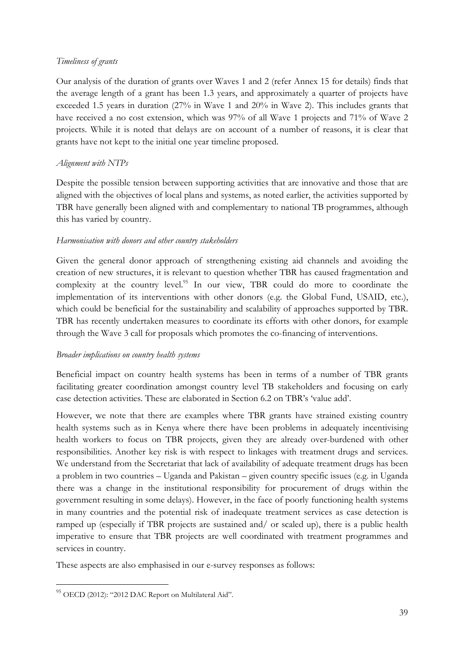### Timeliness of grants

Our analysis of the duration of grants over Waves 1 and 2 (refer Annex 15 for details) finds that the average length of a grant has been 1.3 years, and approximately a quarter of projects have exceeded 1.5 years in duration (27% in Wave 1 and 20% in Wave 2). This includes grants that have received a no cost extension, which was 97% of all Wave 1 projects and 71% of Wave 2 projects. While it is noted that delays are on account of a number of reasons, it is clear that grants have not kept to the initial one year timeline proposed.

## Alignment with NTPs

Despite the possible tension between supporting activities that are innovative and those that are aligned with the objectives of local plans and systems, as noted earlier, the activities supported by TBR have generally been aligned with and complementary to national TB programmes, although this has varied by country.

### Harmonisation with donors and other country stakeholders

Given the general donor approach of strengthening existing aid channels and avoiding the creation of new structures, it is relevant to question whether TBR has caused fragmentation and complexity at the country level.<sup>95</sup> In our view, TBR could do more to coordinate the implementation of its interventions with other donors (e.g. the Global Fund, USAID, etc.), which could be beneficial for the sustainability and scalability of approaches supported by TBR. TBR has recently undertaken measures to coordinate its efforts with other donors, for example through the Wave 3 call for proposals which promotes the co-financing of interventions.

### Broader implications on country health systems

Beneficial impact on country health systems has been in terms of a number of TBR grants facilitating greater coordination amongst country level TB stakeholders and focusing on early case detection activities. These are elaborated in Section 6.2 on TBR's 'value add'.

However, we note that there are examples where TBR grants have strained existing country health systems such as in Kenya where there have been problems in adequately incentivising health workers to focus on TBR projects, given they are already over-burdened with other responsibilities. Another key risk is with respect to linkages with treatment drugs and services. We understand from the Secretariat that lack of availability of adequate treatment drugs has been a problem in two countries – Uganda and Pakistan – given country specific issues (e.g. in Uganda there was a change in the institutional responsibility for procurement of drugs within the government resulting in some delays). However, in the face of poorly functioning health systems in many countries and the potential risk of inadequate treatment services as case detection is ramped up (especially if TBR projects are sustained and/ or scaled up), there is a public health imperative to ensure that TBR projects are well coordinated with treatment programmes and services in country.

These aspects are also emphasised in our e-survey responses as follows:

 $\overline{a}$ 

<sup>95</sup> OECD (2012): "2012 DAC Report on Multilateral Aid".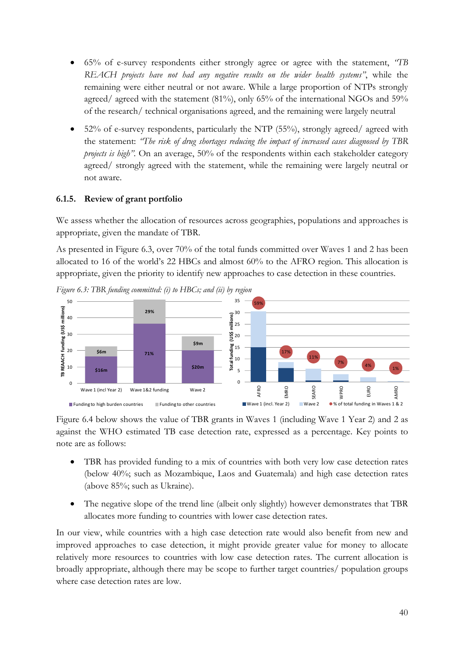- 65% of e-survey respondents either strongly agree or agree with the statement, "TB REACH projects have not had any negative results on the wider health systems", while the remaining were either neutral or not aware. While a large proportion of NTPs strongly agreed/ agreed with the statement (81%), only 65% of the international NGOs and 59% of the research/ technical organisations agreed, and the remaining were largely neutral
- 52% of e-survey respondents, particularly the NTP  $(55%)$ , strongly agreed/agreed with the statement: "The risk of drug shortages reducing the impact of increased cases diagnosed by TBR projects is high". On an average, 50% of the respondents within each stakeholder category agreed/ strongly agreed with the statement, while the remaining were largely neutral or not aware.

## 6.1.5. Review of grant portfolio

We assess whether the allocation of resources across geographies, populations and approaches is appropriate, given the mandate of TBR.

As presented in Figure 6.3, over 70% of the total funds committed over Waves 1 and 2 has been allocated to 16 of the world's 22 HBCs and almost 60% to the AFRO region. This allocation is appropriate, given the priority to identify new approaches to case detection in these countries.



Figure 6.3: TBR funding committed: (i) to HBCs; and (ii) by region

Figure 6.4 below shows the value of TBR grants in Waves 1 (including Wave 1 Year 2) and 2 as against the WHO estimated TB case detection rate, expressed as a percentage. Key points to note are as follows:

- TBR has provided funding to a mix of countries with both very low case detection rates (below 40%; such as Mozambique, Laos and Guatemala) and high case detection rates (above 85%; such as Ukraine).
- The negative slope of the trend line (albeit only slightly) however demonstrates that TBR allocates more funding to countries with lower case detection rates.

In our view, while countries with a high case detection rate would also benefit from new and improved approaches to case detection, it might provide greater value for money to allocate relatively more resources to countries with low case detection rates. The current allocation is broadly appropriate, although there may be scope to further target countries/ population groups where case detection rates are low.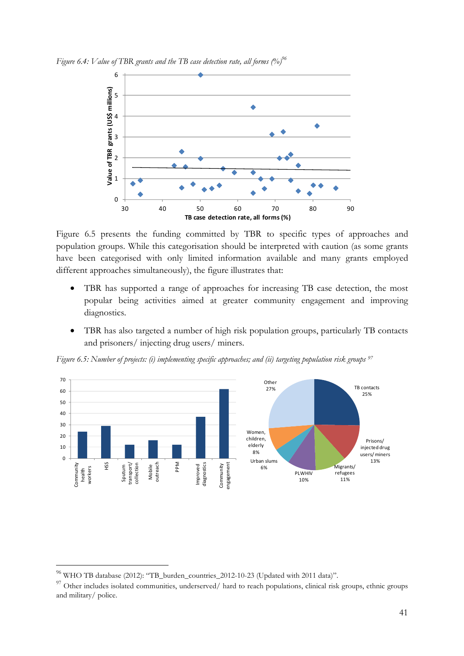Figure 6.4: Value of TBR grants and the TB case detection rate, all forms  $\left(\% \right)^{96}$ 



Figure 6.5 presents the funding committed by TBR to specific types of approaches and population groups. While this categorisation should be interpreted with caution (as some grants have been categorised with only limited information available and many grants employed different approaches simultaneously), the figure illustrates that:

- TBR has supported a range of approaches for increasing TB case detection, the most popular being activities aimed at greater community engagement and improving diagnostics.
- TBR has also targeted a number of high risk population groups, particularly TB contacts and prisoners/ injecting drug users/ miners.

Figure 6.5: Number of projects: (i) implementing specific approaches; and (ii) targeting population risk groups <sup>97</sup>



 $\overline{a}$ 

 $^{96}$  WHO TB database (2012): "TB\_burden\_countries\_2012-10-23 (Updated with 2011 data)".

<sup>&</sup>lt;sup>97</sup> Other includes isolated communities, underserved/ hard to reach populations, clinical risk groups, ethnic groups and military/ police.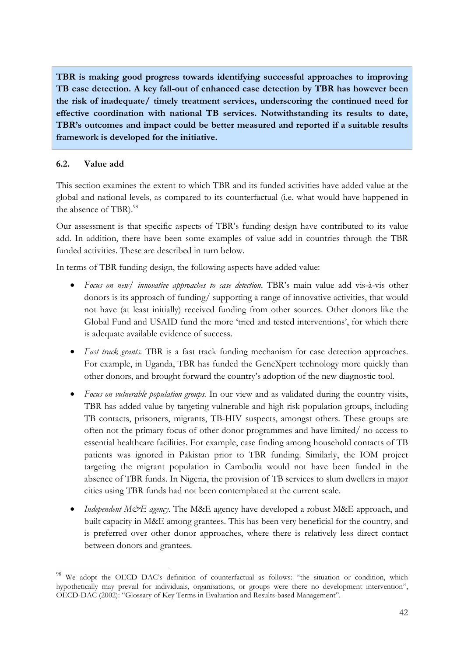TBR is making good progress towards identifying successful approaches to improving TB case detection. A key fall-out of enhanced case detection by TBR has however been the risk of inadequate/ timely treatment services, underscoring the continued need for effective coordination with national TB services. Notwithstanding its results to date, TBR's outcomes and impact could be better measured and reported if a suitable results framework is developed for the initiative.

### 6.2. Value add

 $\overline{a}$ 

This section examines the extent to which TBR and its funded activities have added value at the global and national levels, as compared to its counterfactual (i.e. what would have happened in the absence of TBR).<sup>98</sup>

Our assessment is that specific aspects of TBR's funding design have contributed to its value add. In addition, there have been some examples of value add in countries through the TBR funded activities. These are described in turn below.

In terms of TBR funding design, the following aspects have added value:

- Focus on new/ innovative approaches to case detection. TBR's main value add vis-à-vis other donors is its approach of funding/ supporting a range of innovative activities, that would not have (at least initially) received funding from other sources. Other donors like the Global Fund and USAID fund the more 'tried and tested interventions', for which there is adequate available evidence of success.
- Fast track grants. TBR is a fast track funding mechanism for case detection approaches. For example, in Uganda, TBR has funded the GeneXpert technology more quickly than other donors, and brought forward the country's adoption of the new diagnostic tool.
- Focus on vulnerable population groups. In our view and as validated during the country visits, TBR has added value by targeting vulnerable and high risk population groups, including TB contacts, prisoners, migrants, TB-HIV suspects, amongst others. These groups are often not the primary focus of other donor programmes and have limited/ no access to essential healthcare facilities. For example, case finding among household contacts of TB patients was ignored in Pakistan prior to TBR funding. Similarly, the IOM project targeting the migrant population in Cambodia would not have been funded in the absence of TBR funds. In Nigeria, the provision of TB services to slum dwellers in major cities using TBR funds had not been contemplated at the current scale.
- Independent  $M\ddot{\varphi}E$  agency. The M&E agency have developed a robust M&E approach, and built capacity in M&E among grantees. This has been very beneficial for the country, and is preferred over other donor approaches, where there is relatively less direct contact between donors and grantees.

<sup>&</sup>lt;sup>98</sup> We adopt the OECD DAC's definition of counterfactual as follows: "the situation or condition, which hypothetically may prevail for individuals, organisations, or groups were there no development intervention", OECD-DAC (2002): "Glossary of Key Terms in Evaluation and Results-based Management".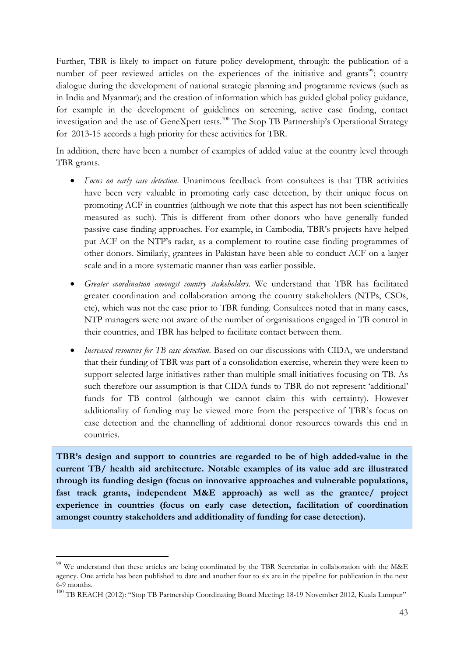Further, TBR is likely to impact on future policy development, through: the publication of a number of peer reviewed articles on the experiences of the initiative and grants<sup>99</sup>; country dialogue during the development of national strategic planning and programme reviews (such as in India and Myanmar); and the creation of information which has guided global policy guidance, for example in the development of guidelines on screening, active case finding, contact investigation and the use of GeneXpert tests.<sup>100</sup> The Stop TB Partnership's Operational Strategy for 2013-15 accords a high priority for these activities for TBR.

In addition, there have been a number of examples of added value at the country level through TBR grants.

- Focus on early case detection. Unanimous feedback from consultees is that TBR activities have been very valuable in promoting early case detection, by their unique focus on promoting ACF in countries (although we note that this aspect has not been scientifically measured as such). This is different from other donors who have generally funded passive case finding approaches. For example, in Cambodia, TBR's projects have helped put ACF on the NTP's radar, as a complement to routine case finding programmes of other donors. Similarly, grantees in Pakistan have been able to conduct ACF on a larger scale and in a more systematic manner than was earlier possible.
- Greater coordination amongst country stakeholders. We understand that TBR has facilitated greater coordination and collaboration among the country stakeholders (NTPs, CSOs, etc), which was not the case prior to TBR funding. Consultees noted that in many cases, NTP managers were not aware of the number of organisations engaged in TB control in their countries, and TBR has helped to facilitate contact between them.
- Increased resources for TB case detection. Based on our discussions with CIDA, we understand that their funding of TBR was part of a consolidation exercise, wherein they were keen to support selected large initiatives rather than multiple small initiatives focusing on TB. As such therefore our assumption is that CIDA funds to TBR do not represent 'additional' funds for TB control (although we cannot claim this with certainty). However additionality of funding may be viewed more from the perspective of TBR's focus on case detection and the channelling of additional donor resources towards this end in countries.

TBR's design and support to countries are regarded to be of high added-value in the current TB/ health aid architecture. Notable examples of its value add are illustrated through its funding design (focus on innovative approaches and vulnerable populations, fast track grants, independent M&E approach) as well as the grantee/ project experience in countries (focus on early case detection, facilitation of coordination amongst country stakeholders and additionality of funding for case detection).

 $\overline{a}$ 

 $^{99}$  We understand that these articles are being coordinated by the TBR Secretariat in collaboration with the M&E agency. One article has been published to date and another four to six are in the pipeline for publication in the next 6-9 months.

<sup>&</sup>lt;sup>100</sup> TB REACH (2012): "Stop TB Partnership Coordinating Board Meeting: 18-19 November 2012, Kuala Lumpur"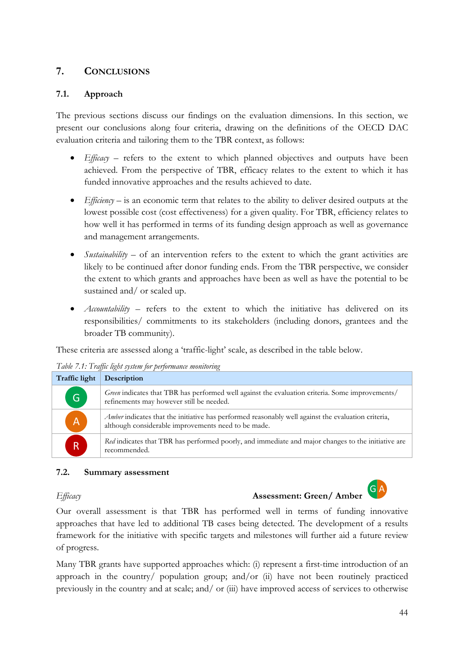# 7. CONCLUSIONS

## 7.1. Approach

The previous sections discuss our findings on the evaluation dimensions. In this section, we present our conclusions along four criteria, drawing on the definitions of the OECD DAC evaluation criteria and tailoring them to the TBR context, as follows:

- *Efficacy* refers to the extent to which planned objectives and outputs have been achieved. From the perspective of TBR, efficacy relates to the extent to which it has funded innovative approaches and the results achieved to date.
- *Efficiency*  $-$  is an economic term that relates to the ability to deliver desired outputs at the lowest possible cost (cost effectiveness) for a given quality. For TBR, efficiency relates to how well it has performed in terms of its funding design approach as well as governance and management arrangements.
- Sustainability of an intervention refers to the extent to which the grant activities are likely to be continued after donor funding ends. From the TBR perspective, we consider the extent to which grants and approaches have been as well as have the potential to be sustained and/ or scaled up.
- Accountability refers to the extent to which the initiative has delivered on its responsibilities/ commitments to its stakeholders (including donors, grantees and the broader TB community).

These criteria are assessed along a 'traffic-light' scale, as described in the table below.

| Traffic light           | <b>Description</b>                                                                                                                                        |
|-------------------------|-----------------------------------------------------------------------------------------------------------------------------------------------------------|
| G                       | Green indicates that TBR has performed well against the evaluation criteria. Some improvements/<br>refinements may however still be needed.               |
| $\overline{A}$          | Amber indicates that the initiative has performed reasonably well against the evaluation criteria,<br>although considerable improvements need to be made. |
| $\overline{\mathsf{R}}$ | Red indicates that TBR has performed poorly, and immediate and major changes to the initiative are<br>recommended.                                        |

Table 7.1: Traffic light system for performance monitoring

### 7.2. Summary assessment

# Efficacy Assessment: Green/ Amber



Our overall assessment is that TBR has performed well in terms of funding innovative approaches that have led to additional TB cases being detected. The development of a results framework for the initiative with specific targets and milestones will further aid a future review of progress.

Many TBR grants have supported approaches which: (i) represent a first-time introduction of an approach in the country/ population group; and/or  $(ii)$  have not been routinely practiced previously in the country and at scale; and/ or (iii) have improved access of services to otherwise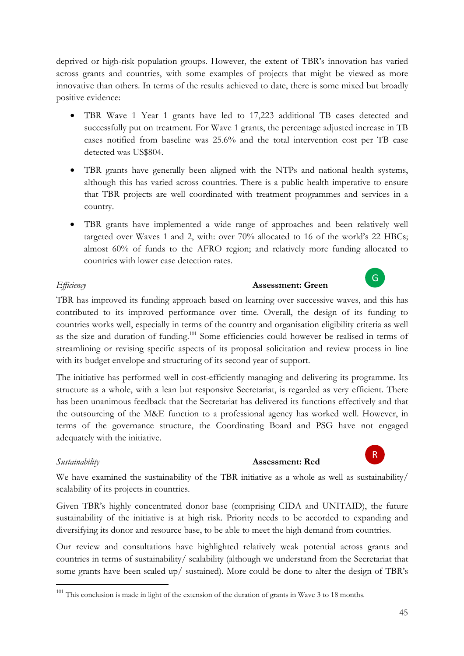deprived or high-risk population groups. However, the extent of TBR's innovation has varied across grants and countries, with some examples of projects that might be viewed as more innovative than others. In terms of the results achieved to date, there is some mixed but broadly positive evidence:

- TBR Wave 1 Year 1 grants have led to 17,223 additional TB cases detected and successfully put on treatment. For Wave 1 grants, the percentage adjusted increase in TB cases notified from baseline was 25.6% and the total intervention cost per TB case detected was US\$804.
- TBR grants have generally been aligned with the NTPs and national health systems, although this has varied across countries. There is a public health imperative to ensure that TBR projects are well coordinated with treatment programmes and services in a country.
- TBR grants have implemented a wide range of approaches and been relatively well targeted over Waves 1 and 2, with: over 70% allocated to 16 of the world's 22 HBCs; almost 60% of funds to the AFRO region; and relatively more funding allocated to countries with lower case detection rates.

## Efficiency **Assessment: Green**

G

R

TBR has improved its funding approach based on learning over successive waves, and this has contributed to its improved performance over time. Overall, the design of its funding to countries works well, especially in terms of the country and organisation eligibility criteria as well as the size and duration of funding.<sup>101</sup> Some efficiencies could however be realised in terms of streamlining or revising specific aspects of its proposal solicitation and review process in line with its budget envelope and structuring of its second year of support.

The initiative has performed well in cost-efficiently managing and delivering its programme. Its structure as a whole, with a lean but responsive Secretariat, is regarded as very efficient. There has been unanimous feedback that the Secretariat has delivered its functions effectively and that the outsourcing of the M&E function to a professional agency has worked well. However, in terms of the governance structure, the Coordinating Board and PSG have not engaged adequately with the initiative.

 $\overline{a}$ 

## Sustainability Assessment: Red

We have examined the sustainability of the TBR initiative as a whole as well as sustainability/ scalability of its projects in countries.

Given TBR's highly concentrated donor base (comprising CIDA and UNITAID), the future sustainability of the initiative is at high risk. Priority needs to be accorded to expanding and diversifying its donor and resource base, to be able to meet the high demand from countries.

Our review and consultations have highlighted relatively weak potential across grants and countries in terms of sustainability/ scalability (although we understand from the Secretariat that some grants have been scaled up/ sustained). More could be done to alter the design of TBR's

<sup>&</sup>lt;sup>101</sup> This conclusion is made in light of the extension of the duration of grants in Wave 3 to 18 months.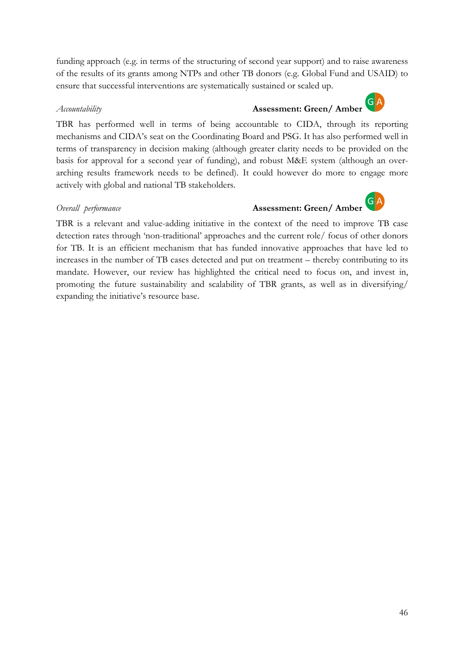funding approach (e.g. in terms of the structuring of second year support) and to raise awareness of the results of its grants among NTPs and other TB donors (e.g. Global Fund and USAID) to ensure that successful interventions are systematically sustained or scaled up.

### Accountability **Assessment: Green/ Amber**  $G|A$

TBR has performed well in terms of being accountable to CIDA, through its reporting mechanisms and CIDA's seat on the Coordinating Board and PSG. It has also performed well in terms of transparency in decision making (although greater clarity needs to be provided on the basis for approval for a second year of funding), and robust M&E system (although an overarching results framework needs to be defined). It could however do more to engage more actively with global and national TB stakeholders.

### Overall performance **Assessment: Green/ Amber**



TBR is a relevant and value-adding initiative in the context of the need to improve TB case detection rates through 'non-traditional' approaches and the current role/ focus of other donors for TB. It is an efficient mechanism that has funded innovative approaches that have led to increases in the number of TB cases detected and put on treatment – thereby contributing to its mandate. However, our review has highlighted the critical need to focus on, and invest in, promoting the future sustainability and scalability of TBR grants, as well as in diversifying/ expanding the initiative's resource base.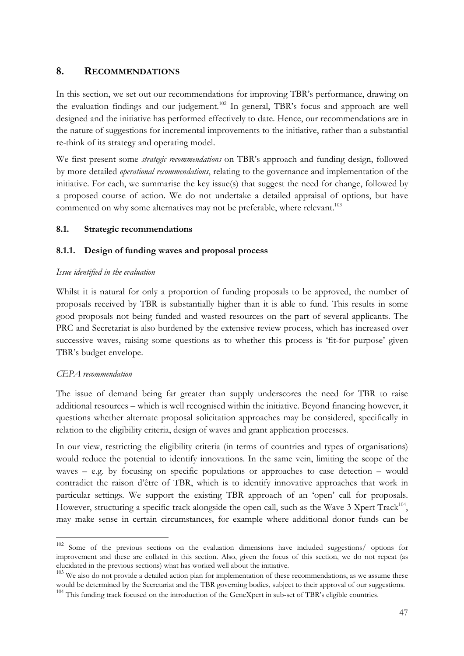# 8. RECOMMENDATIONS

In this section, we set out our recommendations for improving TBR's performance, drawing on the evaluation findings and our judgement.<sup>102</sup> In general, TBR's focus and approach are well designed and the initiative has performed effectively to date. Hence, our recommendations are in the nature of suggestions for incremental improvements to the initiative, rather than a substantial re-think of its strategy and operating model.

We first present some *strategic recommendations* on TBR's approach and funding design, followed by more detailed *operational recommendations*, relating to the governance and implementation of the initiative. For each, we summarise the key issue(s) that suggest the need for change, followed by a proposed course of action. We do not undertake a detailed appraisal of options, but have commented on why some alternatives may not be preferable, where relevant.<sup>103</sup>

## 8.1. Strategic recommendations

### 8.1.1. Design of funding waves and proposal process

### Issue identified in the evaluation

Whilst it is natural for only a proportion of funding proposals to be approved, the number of proposals received by TBR is substantially higher than it is able to fund. This results in some good proposals not being funded and wasted resources on the part of several applicants. The PRC and Secretariat is also burdened by the extensive review process, which has increased over successive waves, raising some questions as to whether this process is 'fit-for purpose' given TBR's budget envelope.

### CEPA recommendation

 $\overline{a}$ 

The issue of demand being far greater than supply underscores the need for TBR to raise additional resources – which is well recognised within the initiative. Beyond financing however, it questions whether alternate proposal solicitation approaches may be considered, specifically in relation to the eligibility criteria, design of waves and grant application processes.

In our view, restricting the eligibility criteria (in terms of countries and types of organisations) would reduce the potential to identify innovations. In the same vein, limiting the scope of the waves – e.g. by focusing on specific populations or approaches to case detection – would contradict the raison d'être of TBR, which is to identify innovative approaches that work in particular settings. We support the existing TBR approach of an 'open' call for proposals. However, structuring a specific track alongside the open call, such as the Wave 3 Xpert Track<sup>104</sup>, may make sense in certain circumstances, for example where additional donor funds can be

<sup>&</sup>lt;sup>102</sup> Some of the previous sections on the evaluation dimensions have included suggestions/ options for improvement and these are collated in this section. Also, given the focus of this section, we do not repeat (as elucidated in the previous sections) what has worked well about the initiative.

<sup>&</sup>lt;sup>103</sup> We also do not provide a detailed action plan for implementation of these recommendations, as we assume these would be determined by the Secretariat and the TBR governing bodies, subject to their approval of our suggestions. <sup>104</sup> This funding track focused on the introduction of the GeneXpert in sub-set of TBR's eligible countries.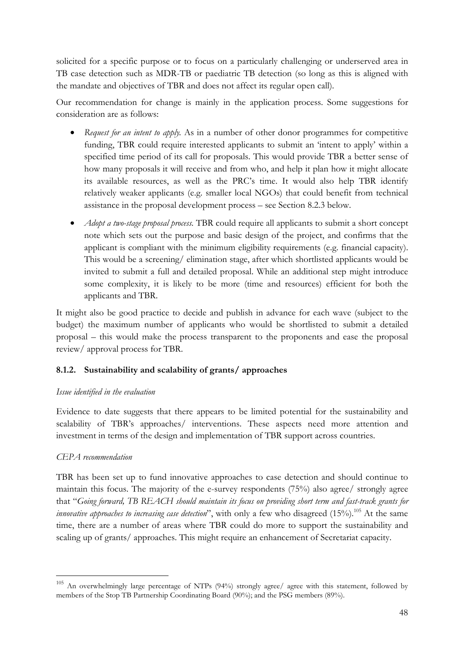solicited for a specific purpose or to focus on a particularly challenging or underserved area in TB case detection such as MDR-TB or paediatric TB detection (so long as this is aligned with the mandate and objectives of TBR and does not affect its regular open call).

Our recommendation for change is mainly in the application process. Some suggestions for consideration are as follows:

- Request for an intent to apply. As in a number of other donor programmes for competitive funding, TBR could require interested applicants to submit an 'intent to apply' within a specified time period of its call for proposals. This would provide TBR a better sense of how many proposals it will receive and from who, and help it plan how it might allocate its available resources, as well as the PRC's time. It would also help TBR identify relatively weaker applicants (e.g. smaller local NGOs) that could benefit from technical assistance in the proposal development process – see Section 8.2.3 below.
- *Adopt a two-stage proposal process*. TBR could require all applicants to submit a short concept note which sets out the purpose and basic design of the project, and confirms that the applicant is compliant with the minimum eligibility requirements (e.g. financial capacity). This would be a screening/ elimination stage, after which shortlisted applicants would be invited to submit a full and detailed proposal. While an additional step might introduce some complexity, it is likely to be more (time and resources) efficient for both the applicants and TBR.

It might also be good practice to decide and publish in advance for each wave (subject to the budget) the maximum number of applicants who would be shortlisted to submit a detailed proposal – this would make the process transparent to the proponents and ease the proposal review/ approval process for TBR.

## 8.1.2. Sustainability and scalability of grants/ approaches

## Issue identified in the evaluation

Evidence to date suggests that there appears to be limited potential for the sustainability and scalability of TBR's approaches/ interventions. These aspects need more attention and investment in terms of the design and implementation of TBR support across countries.

## CEPA recommendation

 $\overline{a}$ 

TBR has been set up to fund innovative approaches to case detection and should continue to maintain this focus. The majority of the e-survey respondents (75%) also agree/ strongly agree that "Going forward, TB REACH should maintain its focus on providing short term and fast-track grants for *innovative approaches to increasing case detection*", with only a few who disagreed  $(15%)$ .<sup>105</sup> At the same time, there are a number of areas where TBR could do more to support the sustainability and scaling up of grants/ approaches. This might require an enhancement of Secretariat capacity.

<sup>105</sup> An overwhelmingly large percentage of NTPs (94%) strongly agree/ agree with this statement, followed by members of the Stop TB Partnership Coordinating Board (90%); and the PSG members (89%).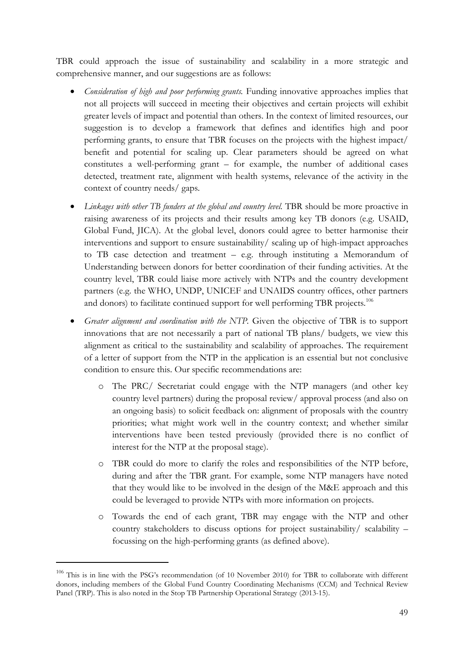TBR could approach the issue of sustainability and scalability in a more strategic and comprehensive manner, and our suggestions are as follows:

- *Consideration of high and poor performing grants*. Funding innovative approaches implies that not all projects will succeed in meeting their objectives and certain projects will exhibit greater levels of impact and potential than others. In the context of limited resources, our suggestion is to develop a framework that defines and identifies high and poor performing grants, to ensure that TBR focuses on the projects with the highest impact/ benefit and potential for scaling up. Clear parameters should be agreed on what constitutes a well-performing grant – for example, the number of additional cases detected, treatment rate, alignment with health systems, relevance of the activity in the context of country needs/ gaps.
- Linkages with other TB funders at the global and country level. TBR should be more proactive in raising awareness of its projects and their results among key TB donors (e.g. USAID, Global Fund, JICA). At the global level, donors could agree to better harmonise their interventions and support to ensure sustainability/ scaling up of high-impact approaches to TB case detection and treatment – e.g. through instituting a Memorandum of Understanding between donors for better coordination of their funding activities. At the country level, TBR could liaise more actively with NTPs and the country development partners (e.g. the WHO, UNDP, UNICEF and UNAIDS country offices, other partners and donors) to facilitate continued support for well performing TBR projects.<sup>106</sup>
- Greater alignment and coordination with the NTP. Given the objective of TBR is to support innovations that are not necessarily a part of national TB plans/ budgets, we view this alignment as critical to the sustainability and scalability of approaches. The requirement of a letter of support from the NTP in the application is an essential but not conclusive condition to ensure this. Our specific recommendations are:
	- o The PRC/ Secretariat could engage with the NTP managers (and other key country level partners) during the proposal review/ approval process (and also on an ongoing basis) to solicit feedback on: alignment of proposals with the country priorities; what might work well in the country context; and whether similar interventions have been tested previously (provided there is no conflict of interest for the NTP at the proposal stage).
	- o TBR could do more to clarify the roles and responsibilities of the NTP before, during and after the TBR grant. For example, some NTP managers have noted that they would like to be involved in the design of the M&E approach and this could be leveraged to provide NTPs with more information on projects.
	- o Towards the end of each grant, TBR may engage with the NTP and other country stakeholders to discuss options for project sustainability/ scalability – focussing on the high-performing grants (as defined above).

 $\overline{a}$ 

<sup>&</sup>lt;sup>106</sup> This is in line with the PSG's recommendation (of 10 November 2010) for TBR to collaborate with different donors, including members of the Global Fund Country Coordinating Mechanisms (CCM) and Technical Review Panel (TRP). This is also noted in the Stop TB Partnership Operational Strategy (2013-15).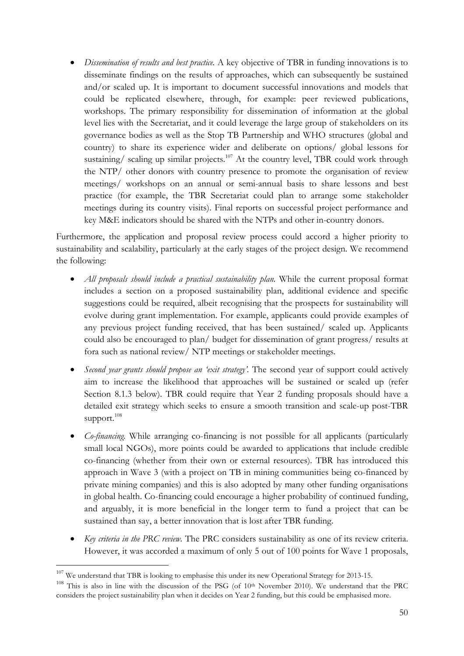• Dissemination of results and best practice. A key objective of TBR in funding innovations is to disseminate findings on the results of approaches, which can subsequently be sustained and/or scaled up. It is important to document successful innovations and models that could be replicated elsewhere, through, for example: peer reviewed publications, workshops. The primary responsibility for dissemination of information at the global level lies with the Secretariat, and it could leverage the large group of stakeholders on its governance bodies as well as the Stop TB Partnership and WHO structures (global and country) to share its experience wider and deliberate on options/ global lessons for sustaining/ scaling up similar projects.<sup>107</sup> At the country level, TBR could work through the NTP/ other donors with country presence to promote the organisation of review meetings/ workshops on an annual or semi-annual basis to share lessons and best practice (for example, the TBR Secretariat could plan to arrange some stakeholder meetings during its country visits). Final reports on successful project performance and key M&E indicators should be shared with the NTPs and other in-country donors.

Furthermore, the application and proposal review process could accord a higher priority to sustainability and scalability, particularly at the early stages of the project design. We recommend the following:

- All proposals should include a practical sustainability plan. While the current proposal format includes a section on a proposed sustainability plan, additional evidence and specific suggestions could be required, albeit recognising that the prospects for sustainability will evolve during grant implementation. For example, applicants could provide examples of any previous project funding received, that has been sustained/ scaled up. Applicants could also be encouraged to plan/ budget for dissemination of grant progress/ results at fora such as national review/ NTP meetings or stakeholder meetings.
- Second year grants should propose an 'exit strategy'. The second year of support could actively aim to increase the likelihood that approaches will be sustained or scaled up (refer Section 8.1.3 below). TBR could require that Year 2 funding proposals should have a detailed exit strategy which seeks to ensure a smooth transition and scale-up post-TBR support. $^{108}$
- *Co-financing*. While arranging co-financing is not possible for all applicants (particularly small local NGOs), more points could be awarded to applications that include credible co-financing (whether from their own or external resources). TBR has introduced this approach in Wave 3 (with a project on TB in mining communities being co-financed by private mining companies) and this is also adopted by many other funding organisations in global health. Co-financing could encourage a higher probability of continued funding, and arguably, it is more beneficial in the longer term to fund a project that can be sustained than say, a better innovation that is lost after TBR funding.
- Key criteria in the PRC review. The PRC considers sustainability as one of its review criteria. However, it was accorded a maximum of only 5 out of 100 points for Wave 1 proposals,

 $\overline{a}$ 

<sup>&</sup>lt;sup>107</sup> We understand that TBR is looking to emphasise this under its new Operational Strategy for 2013-15.

<sup>&</sup>lt;sup>108</sup> This is also in line with the discussion of the PSG (of 10<sup>th</sup> November 2010). We understand that the PRC considers the project sustainability plan when it decides on Year 2 funding, but this could be emphasised more.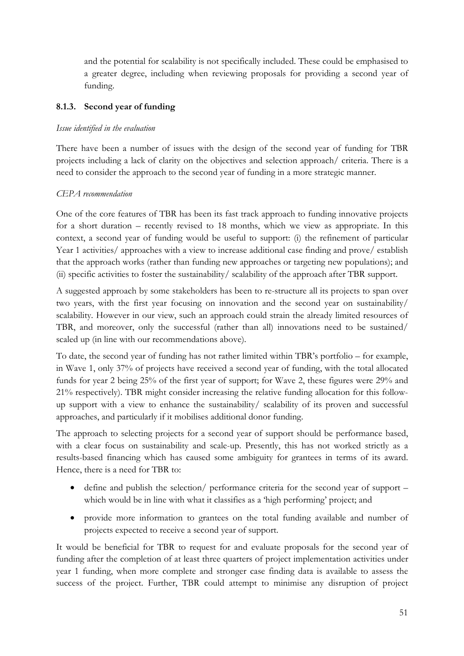and the potential for scalability is not specifically included. These could be emphasised to a greater degree, including when reviewing proposals for providing a second year of funding.

### 8.1.3. Second year of funding

### Issue identified in the evaluation

There have been a number of issues with the design of the second year of funding for TBR projects including a lack of clarity on the objectives and selection approach/ criteria. There is a need to consider the approach to the second year of funding in a more strategic manner.

### CEPA recommendation

One of the core features of TBR has been its fast track approach to funding innovative projects for a short duration – recently revised to 18 months, which we view as appropriate. In this context, a second year of funding would be useful to support: (i) the refinement of particular Year 1 activities/ approaches with a view to increase additional case finding and prove/ establish that the approach works (rather than funding new approaches or targeting new populations); and (ii) specific activities to foster the sustainability/ scalability of the approach after TBR support.

A suggested approach by some stakeholders has been to re-structure all its projects to span over two years, with the first year focusing on innovation and the second year on sustainability/ scalability. However in our view, such an approach could strain the already limited resources of TBR, and moreover, only the successful (rather than all) innovations need to be sustained/ scaled up (in line with our recommendations above).

To date, the second year of funding has not rather limited within TBR's portfolio – for example, in Wave 1, only 37% of projects have received a second year of funding, with the total allocated funds for year 2 being 25% of the first year of support; for Wave 2, these figures were 29% and 21% respectively). TBR might consider increasing the relative funding allocation for this followup support with a view to enhance the sustainability/ scalability of its proven and successful approaches, and particularly if it mobilises additional donor funding.

The approach to selecting projects for a second year of support should be performance based, with a clear focus on sustainability and scale-up. Presently, this has not worked strictly as a results-based financing which has caused some ambiguity for grantees in terms of its award. Hence, there is a need for TBR to:

- define and publish the selection/ performance criteria for the second year of support which would be in line with what it classifies as a 'high performing' project; and
- provide more information to grantees on the total funding available and number of projects expected to receive a second year of support.

It would be beneficial for TBR to request for and evaluate proposals for the second year of funding after the completion of at least three quarters of project implementation activities under year 1 funding, when more complete and stronger case finding data is available to assess the success of the project. Further, TBR could attempt to minimise any disruption of project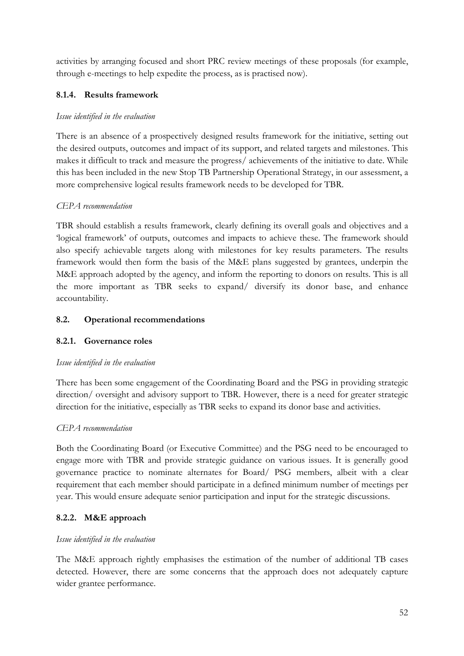activities by arranging focused and short PRC review meetings of these proposals (for example, through e-meetings to help expedite the process, as is practised now).

# 8.1.4. Results framework

# Issue identified in the evaluation

There is an absence of a prospectively designed results framework for the initiative, setting out the desired outputs, outcomes and impact of its support, and related targets and milestones. This makes it difficult to track and measure the progress/ achievements of the initiative to date. While this has been included in the new Stop TB Partnership Operational Strategy, in our assessment, a more comprehensive logical results framework needs to be developed for TBR.

# CEPA recommendation

TBR should establish a results framework, clearly defining its overall goals and objectives and a 'logical framework' of outputs, outcomes and impacts to achieve these. The framework should also specify achievable targets along with milestones for key results parameters. The results framework would then form the basis of the M&E plans suggested by grantees, underpin the M&E approach adopted by the agency, and inform the reporting to donors on results. This is all the more important as TBR seeks to expand/ diversify its donor base, and enhance accountability.

# 8.2. Operational recommendations

# 8.2.1. Governance roles

## Issue identified in the evaluation

There has been some engagement of the Coordinating Board and the PSG in providing strategic direction/ oversight and advisory support to TBR. However, there is a need for greater strategic direction for the initiative, especially as TBR seeks to expand its donor base and activities.

## CEPA recommendation

Both the Coordinating Board (or Executive Committee) and the PSG need to be encouraged to engage more with TBR and provide strategic guidance on various issues. It is generally good governance practice to nominate alternates for Board/ PSG members, albeit with a clear requirement that each member should participate in a defined minimum number of meetings per year. This would ensure adequate senior participation and input for the strategic discussions.

# 8.2.2. M&E approach

## Issue identified in the evaluation

The M&E approach rightly emphasises the estimation of the number of additional TB cases detected. However, there are some concerns that the approach does not adequately capture wider grantee performance.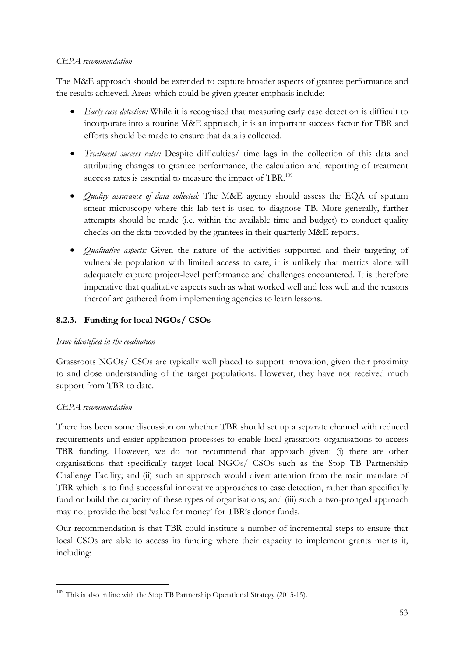### CEPA recommendation

The M&E approach should be extended to capture broader aspects of grantee performance and the results achieved. Areas which could be given greater emphasis include:

- Early case detection: While it is recognised that measuring early case detection is difficult to incorporate into a routine M&E approach, it is an important success factor for TBR and efforts should be made to ensure that data is collected.
- Treatment success rates: Despite difficulties/ time lags in the collection of this data and attributing changes to grantee performance, the calculation and reporting of treatment success rates is essential to measure the impact of TBR. $^{109}$
- *Quality assurance of data collected:* The M&E agency should assess the EQA of sputum smear microscopy where this lab test is used to diagnose TB. More generally, further attempts should be made (i.e. within the available time and budget) to conduct quality checks on the data provided by the grantees in their quarterly M&E reports.
- *Qualitative aspects:* Given the nature of the activities supported and their targeting of vulnerable population with limited access to care, it is unlikely that metrics alone will adequately capture project-level performance and challenges encountered. It is therefore imperative that qualitative aspects such as what worked well and less well and the reasons thereof are gathered from implementing agencies to learn lessons.

# 8.2.3. Funding for local NGOs/ CSOs

## Issue identified in the evaluation

Grassroots NGOs/ CSOs are typically well placed to support innovation, given their proximity to and close understanding of the target populations. However, they have not received much support from TBR to date.

## CEPA recommendation

 $\overline{a}$ 

There has been some discussion on whether TBR should set up a separate channel with reduced requirements and easier application processes to enable local grassroots organisations to access TBR funding. However, we do not recommend that approach given: (i) there are other organisations that specifically target local NGOs/ CSOs such as the Stop TB Partnership Challenge Facility; and (ii) such an approach would divert attention from the main mandate of TBR which is to find successful innovative approaches to case detection, rather than specifically fund or build the capacity of these types of organisations; and (iii) such a two-pronged approach may not provide the best 'value for money' for TBR's donor funds.

Our recommendation is that TBR could institute a number of incremental steps to ensure that local CSOs are able to access its funding where their capacity to implement grants merits it, including:

<sup>&</sup>lt;sup>109</sup> This is also in line with the Stop TB Partnership Operational Strategy (2013-15).